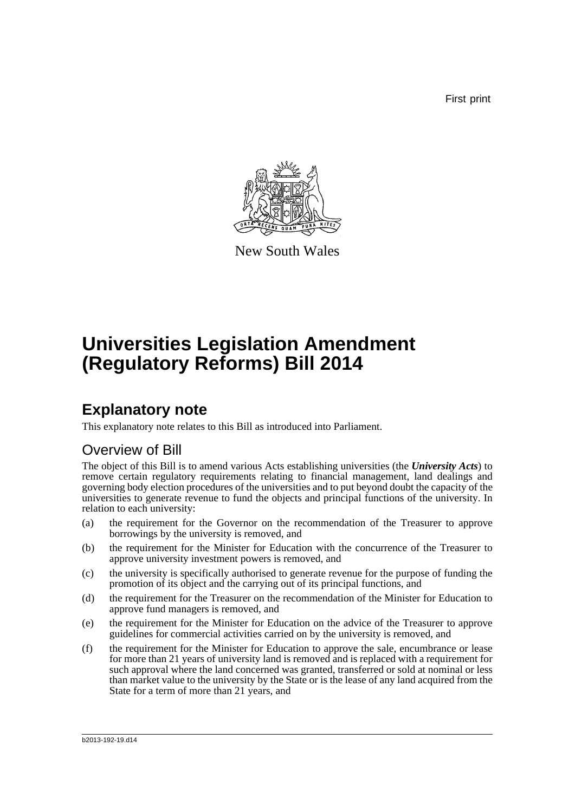First print



New South Wales

# **Universities Legislation Amendment (Regulatory Reforms) Bill 2014**

### **Explanatory note**

This explanatory note relates to this Bill as introduced into Parliament.

### Overview of Bill

The object of this Bill is to amend various Acts establishing universities (the *University Acts*) to remove certain regulatory requirements relating to financial management, land dealings and governing body election procedures of the universities and to put beyond doubt the capacity of the universities to generate revenue to fund the objects and principal functions of the university. In relation to each university:

- (a) the requirement for the Governor on the recommendation of the Treasurer to approve borrowings by the university is removed, and
- (b) the requirement for the Minister for Education with the concurrence of the Treasurer to approve university investment powers is removed, and
- (c) the university is specifically authorised to generate revenue for the purpose of funding the promotion of its object and the carrying out of its principal functions, and
- (d) the requirement for the Treasurer on the recommendation of the Minister for Education to approve fund managers is removed, and
- (e) the requirement for the Minister for Education on the advice of the Treasurer to approve guidelines for commercial activities carried on by the university is removed, and
- (f) the requirement for the Minister for Education to approve the sale, encumbrance or lease for more than 21 years of university land is removed and is replaced with a requirement for such approval where the land concerned was granted, transferred or sold at nominal or less than market value to the university by the State or is the lease of any land acquired from the State for a term of more than 21 years, and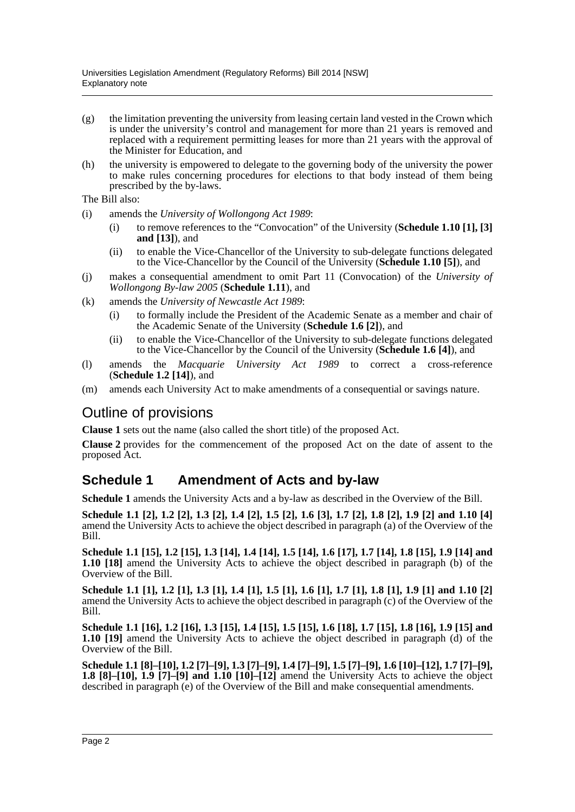- (g) the limitation preventing the university from leasing certain land vested in the Crown which is under the university's control and management for more than 21 years is removed and replaced with a requirement permitting leases for more than 21 years with the approval of the Minister for Education, and
- (h) the university is empowered to delegate to the governing body of the university the power to make rules concerning procedures for elections to that body instead of them being prescribed by the by-laws.

The Bill also:

- (i) amends the *University of Wollongong Act 1989*:
	- (i) to remove references to the "Convocation" of the University (**Schedule 1.10 [1], [3] and [13]**), and
	- (ii) to enable the Vice-Chancellor of the University to sub-delegate functions delegated to the Vice-Chancellor by the Council of the University (**Schedule 1.10 [5]**), and
- (j) makes a consequential amendment to omit Part 11 (Convocation) of the *University of Wollongong By-law 2005* (**Schedule 1.11**), and
- (k) amends the *University of Newcastle Act 1989*:
	- (i) to formally include the President of the Academic Senate as a member and chair of the Academic Senate of the University (**Schedule 1.6 [2]**), and
	- (ii) to enable the Vice-Chancellor of the University to sub-delegate functions delegated to the Vice-Chancellor by the Council of the University (**Schedule 1.6 [4]**), and
- (l) amends the *Macquarie University Act 1989* to correct a cross-reference (**Schedule 1.2 [14]**), and
- (m) amends each University Act to make amendments of a consequential or savings nature.

### Outline of provisions

**Clause 1** sets out the name (also called the short title) of the proposed Act.

**Clause 2** provides for the commencement of the proposed Act on the date of assent to the proposed Act.

#### **Schedule 1 Amendment of Acts and by-law**

**Schedule 1** amends the University Acts and a by-law as described in the Overview of the Bill.

**Schedule 1.1 [2], 1.2 [2], 1.3 [2], 1.4 [2], 1.5 [2], 1.6 [3], 1.7 [2], 1.8 [2], 1.9 [2] and 1.10 [4]** amend the University Acts to achieve the object described in paragraph (a) of the Overview of the Bill.

**Schedule 1.1 [15], 1.2 [15], 1.3 [14], 1.4 [14], 1.5 [14], 1.6 [17], 1.7 [14], 1.8 [15], 1.9 [14] and 1.10 [18]** amend the University Acts to achieve the object described in paragraph (b) of the Overview of the Bill.

**Schedule 1.1 [1], 1.2 [1], 1.3 [1], 1.4 [1], 1.5 [1], 1.6 [1], 1.7 [1], 1.8 [1], 1.9 [1] and 1.10 [2]** amend the University Acts to achieve the object described in paragraph (c) of the Overview of the Bill.

**Schedule 1.1 [16], 1.2 [16], 1.3 [15], 1.4 [15], 1.5 [15], 1.6 [18], 1.7 [15], 1.8 [16], 1.9 [15] and 1.10 [19]** amend the University Acts to achieve the object described in paragraph (d) of the Overview of the Bill.

**Schedule 1.1 [8]–[10], 1.2 [7]–[9], 1.3 [7]–[9], 1.4 [7]–[9], 1.5 [7]–[9], 1.6 [10]–[12], 1.7 [7]–[9], 1.8 [8]–[10], 1.9 [7]–[9] and 1.10 [10]–[12]** amend the University Acts to achieve the object described in paragraph (e) of the Overview of the Bill and make consequential amendments.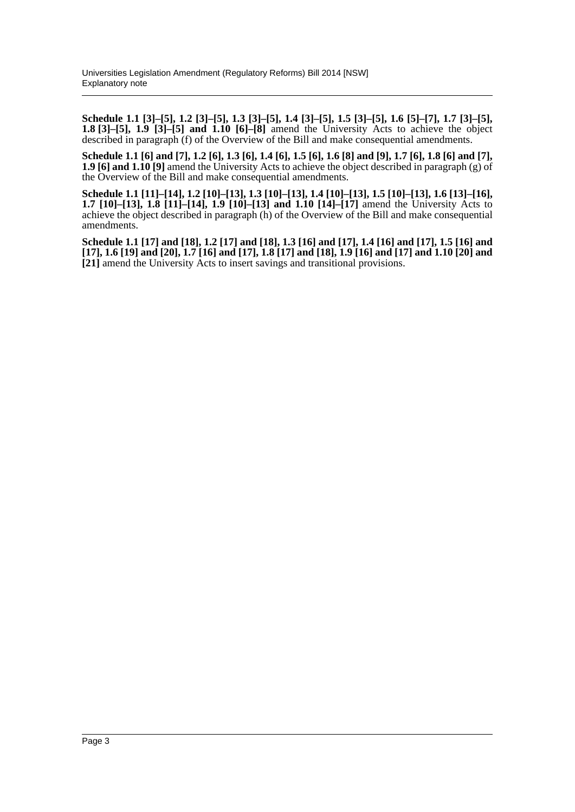**Schedule 1.1 [3]–[5], 1.2 [3]–[5], 1.3 [3]–[5], 1.4 [3]–[5], 1.5 [3]–[5], 1.6 [5]–[7], 1.7 [3]–[5], 1.8 [3]–[5], 1.9 [3]–[5] and 1.10 [6]–[8]** amend the University Acts to achieve the object described in paragraph (f) of the Overview of the Bill and make consequential amendments.

**Schedule 1.1 [6] and [7], 1.2 [6], 1.3 [6], 1.4 [6], 1.5 [6], 1.6 [8] and [9], 1.7 [6], 1.8 [6] and [7], 1.9 [6] and 1.10 [9]** amend the University Acts to achieve the object described in paragraph (g) of the Overview of the Bill and make consequential amendments.

**Schedule 1.1 [11]–[14], 1.2 [10]–[13], 1.3 [10]–[13], 1.4 [10]–[13], 1.5 [10]–[13], 1.6 [13]–[16], 1.7 [10]–[13], 1.8 [11]–[14], 1.9 [10]–[13] and 1.10 [14]–[17]** amend the University Acts to achieve the object described in paragraph (h) of the Overview of the Bill and make consequential amendments.

**Schedule 1.1 [17] and [18], 1.2 [17] and [18], 1.3 [16] and [17], 1.4 [16] and [17], 1.5 [16] and [17], 1.6 [19] and [20], 1.7 [16] and [17], 1.8 [17] and [18], 1.9 [16] and [17] and 1.10 [20] and [21]** amend the University Acts to insert savings and transitional provisions.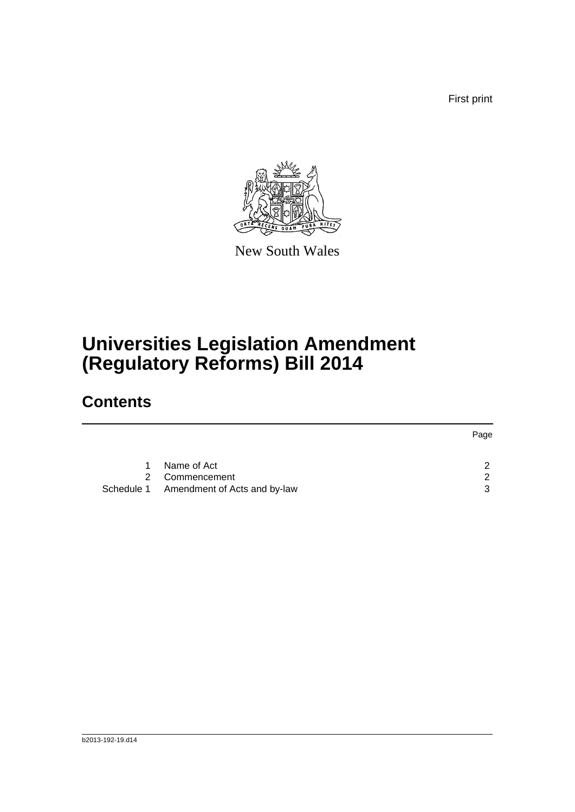First print



New South Wales

# **Universities Legislation Amendment (Regulatory Reforms) Bill 2014**

## **Contents**

|    |                                         | Page          |
|----|-----------------------------------------|---------------|
|    |                                         |               |
| 1. | Name of Act                             | $\mathcal{P}$ |
|    | 2 Commencement                          | $\mathcal{P}$ |
|    | Schedule 1 Amendment of Acts and by-law | 3             |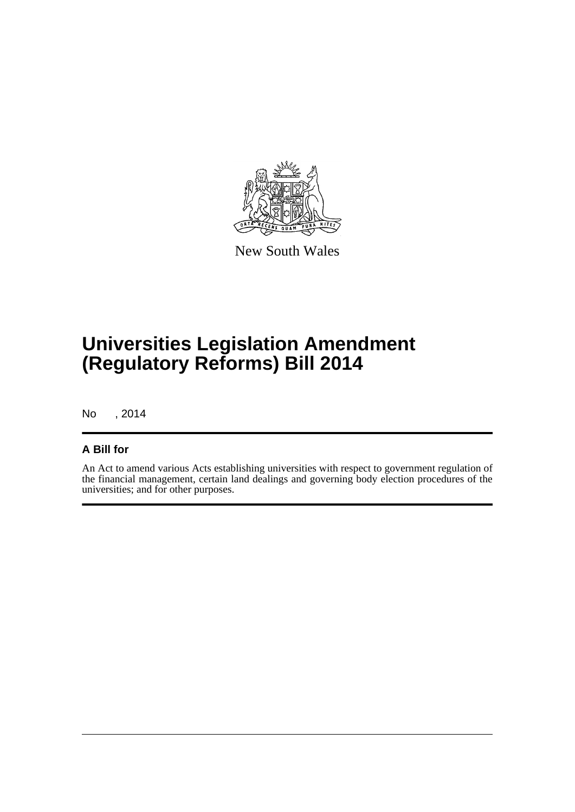

New South Wales

# **Universities Legislation Amendment (Regulatory Reforms) Bill 2014**

No , 2014

#### **A Bill for**

An Act to amend various Acts establishing universities with respect to government regulation of the financial management, certain land dealings and governing body election procedures of the universities; and for other purposes.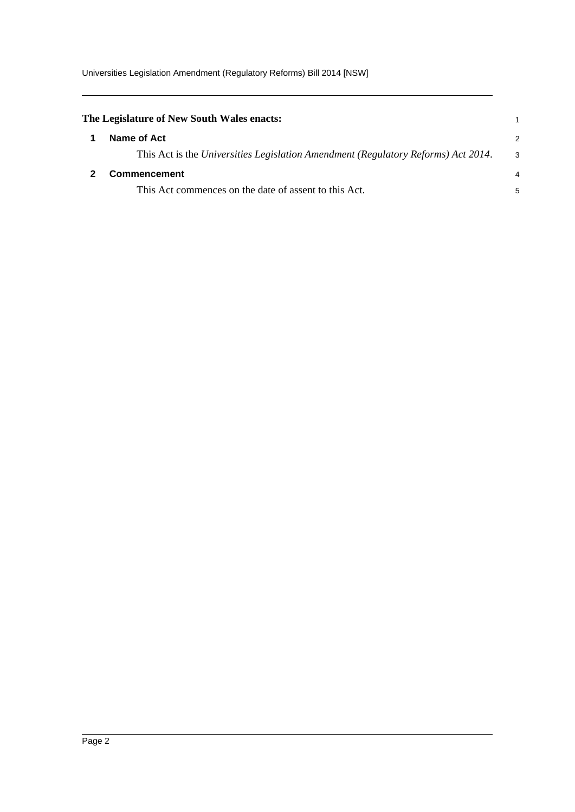<span id="page-5-1"></span><span id="page-5-0"></span>

| The Legislature of New South Wales enacts:                                        |    |
|-----------------------------------------------------------------------------------|----|
| Name of Act                                                                       | 2  |
| This Act is the Universities Legislation Amendment (Regulatory Reforms) Act 2014. | -3 |
| <b>Commencement</b>                                                               | 4  |
| This Act commences on the date of assent to this Act.                             | 5  |
|                                                                                   |    |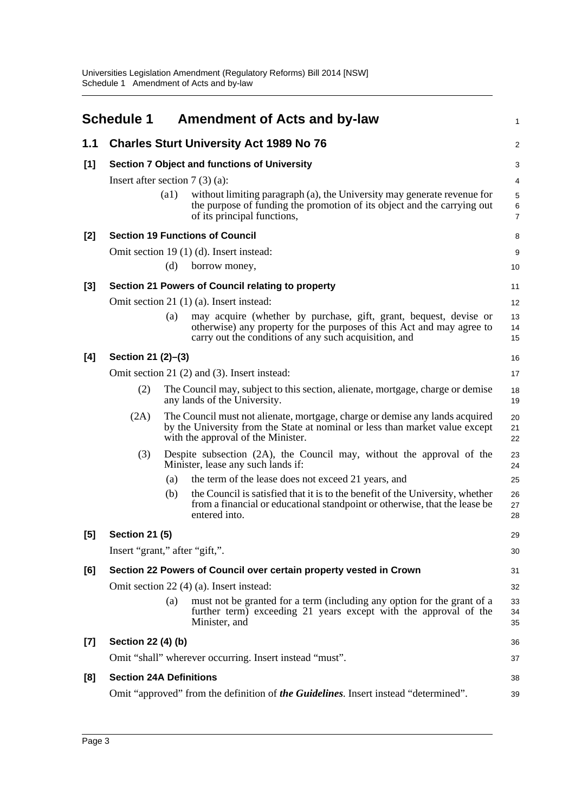<span id="page-6-0"></span>

|       | <b>Schedule 1</b>                |                    | <b>Amendment of Acts and by-law</b>                                                                                                                                                                 | 1              |
|-------|----------------------------------|--------------------|-----------------------------------------------------------------------------------------------------------------------------------------------------------------------------------------------------|----------------|
| 1.1   |                                  |                    | <b>Charles Sturt University Act 1989 No 76</b>                                                                                                                                                      | 2              |
| [1]   |                                  |                    | Section 7 Object and functions of University                                                                                                                                                        | 3              |
|       | Insert after section $7(3)(a)$ : |                    |                                                                                                                                                                                                     | 4              |
|       |                                  | $\left( a1\right)$ | without limiting paragraph (a), the University may generate revenue for<br>the purpose of funding the promotion of its object and the carrying out<br>of its principal functions,                   | 5<br>6<br>7    |
| $[2]$ |                                  |                    | <b>Section 19 Functions of Council</b>                                                                                                                                                              | 8              |
|       |                                  |                    | Omit section 19 (1) (d). Insert instead:                                                                                                                                                            | 9              |
|       |                                  | (d)                | borrow money,                                                                                                                                                                                       | 10             |
| [3]   |                                  |                    | Section 21 Powers of Council relating to property                                                                                                                                                   | 11             |
|       |                                  |                    | Omit section 21 (1) (a). Insert instead:                                                                                                                                                            | 12             |
|       |                                  | (a)                | may acquire (whether by purchase, gift, grant, bequest, devise or<br>otherwise) any property for the purposes of this Act and may agree to<br>carry out the conditions of any such acquisition, and | 13<br>14<br>15 |
| [4]   | Section 21 (2)-(3)               |                    |                                                                                                                                                                                                     | 16             |
|       |                                  |                    | Omit section 21 (2) and (3). Insert instead:                                                                                                                                                        | 17             |
|       | (2)                              |                    | The Council may, subject to this section, alienate, mortgage, charge or demise<br>any lands of the University.                                                                                      | 18<br>19       |
|       | (2A)                             |                    | The Council must not alienate, mortgage, charge or demise any lands acquired<br>by the University from the State at nominal or less than market value except<br>with the approval of the Minister.  | 20<br>21<br>22 |
|       | (3)                              |                    | Despite subsection (2A), the Council may, without the approval of the<br>Minister, lease any such lands if:                                                                                         | 23<br>24       |
|       |                                  | (a)                | the term of the lease does not exceed 21 years, and                                                                                                                                                 | 25             |
|       |                                  | (b)                | the Council is satisfied that it is to the benefit of the University, whether<br>from a financial or educational standpoint or otherwise, that the lease be<br>entered into.                        | 26<br>27<br>28 |
| [5]   | <b>Section 21 (5)</b>            |                    |                                                                                                                                                                                                     | 29             |
|       | Insert "grant," after "gift,".   |                    |                                                                                                                                                                                                     | 30             |
| [6]   |                                  |                    | Section 22 Powers of Council over certain property vested in Crown                                                                                                                                  | 31             |
|       |                                  |                    | Omit section 22 (4) (a). Insert instead:                                                                                                                                                            | 32             |
|       |                                  | (a)                | must not be granted for a term (including any option for the grant of a<br>further term) exceeding 21 years except with the approval of the<br>Minister, and                                        | 33<br>34<br>35 |
| $[7]$ | Section 22 (4) (b)               |                    |                                                                                                                                                                                                     | 36             |
|       |                                  |                    | Omit "shall" wherever occurring. Insert instead "must".                                                                                                                                             | 37             |
| [8]   | <b>Section 24A Definitions</b>   |                    |                                                                                                                                                                                                     | 38             |
|       |                                  |                    | Omit "approved" from the definition of the Guidelines. Insert instead "determined".                                                                                                                 | 39             |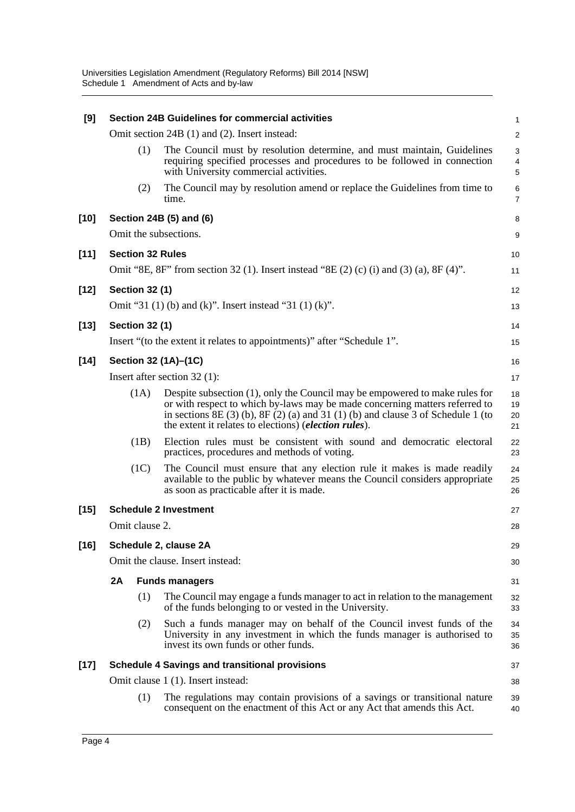| [9]    |                       |      | <b>Section 24B Guidelines for commercial activities</b>                                                                                                                                                                                                                                                             | $\mathbf{1}$         |
|--------|-----------------------|------|---------------------------------------------------------------------------------------------------------------------------------------------------------------------------------------------------------------------------------------------------------------------------------------------------------------------|----------------------|
|        |                       |      | Omit section 24B (1) and (2). Insert instead:                                                                                                                                                                                                                                                                       | $\overline{2}$       |
|        |                       | (1)  | The Council must by resolution determine, and must maintain, Guidelines<br>requiring specified processes and procedures to be followed in connection<br>with University commercial activities.                                                                                                                      | 3<br>4<br>5          |
|        |                       | (2)  | The Council may by resolution amend or replace the Guidelines from time to<br>time.                                                                                                                                                                                                                                 | 6<br>$\overline{7}$  |
| $[10]$ |                       |      | Section 24B (5) and (6)                                                                                                                                                                                                                                                                                             | 8                    |
|        |                       |      | Omit the subsections.                                                                                                                                                                                                                                                                                               | 9                    |
| $[11]$ |                       |      | <b>Section 32 Rules</b>                                                                                                                                                                                                                                                                                             | 10                   |
|        |                       |      | Omit "8E, 8F" from section 32 (1). Insert instead "8E (2) (c) (i) and (3) (a), 8F (4)".                                                                                                                                                                                                                             | 11                   |
| $[12]$ | <b>Section 32 (1)</b> |      |                                                                                                                                                                                                                                                                                                                     | 12                   |
|        |                       |      | Omit "31 (1) (b) and (k)". Insert instead "31 (1) (k)".                                                                                                                                                                                                                                                             | 13                   |
| $[13]$ | <b>Section 32 (1)</b> |      |                                                                                                                                                                                                                                                                                                                     | 14                   |
|        |                       |      | Insert "(to the extent it relates to appointments)" after "Schedule 1".                                                                                                                                                                                                                                             | 15                   |
| $[14]$ |                       |      | Section 32 (1A)-(1C)                                                                                                                                                                                                                                                                                                | 16                   |
|        |                       |      | Insert after section $32$ (1):                                                                                                                                                                                                                                                                                      | 17                   |
|        |                       | (1A) | Despite subsection (1), only the Council may be empowered to make rules for<br>or with respect to which by-laws may be made concerning matters referred to<br>in sections $8E(3)$ (b), $8F(2)$ (a) and $31(1)$ (b) and clause 3 of Schedule 1 (to<br>the extent it relates to elections) ( <i>election rules</i> ). | 18<br>19<br>20<br>21 |
|        |                       | (1B) | Election rules must be consistent with sound and democratic electoral<br>practices, procedures and methods of voting.                                                                                                                                                                                               | 22<br>23             |
|        |                       | (1C) | The Council must ensure that any election rule it makes is made readily<br>available to the public by whatever means the Council considers appropriate<br>as soon as practicable after it is made.                                                                                                                  | 24<br>25<br>26       |
| $[15]$ |                       |      | <b>Schedule 2 Investment</b>                                                                                                                                                                                                                                                                                        | 27                   |
|        | Omit clause 2.        |      |                                                                                                                                                                                                                                                                                                                     | 28                   |
| $[16]$ |                       |      | Schedule 2, clause 2A                                                                                                                                                                                                                                                                                               | 29                   |
|        |                       |      | Omit the clause. Insert instead:                                                                                                                                                                                                                                                                                    | 30                   |
|        | 2A                    |      | <b>Funds managers</b>                                                                                                                                                                                                                                                                                               | 31                   |
|        |                       | (1)  | The Council may engage a funds manager to act in relation to the management<br>of the funds belonging to or vested in the University.                                                                                                                                                                               | 32<br>33             |
|        |                       | (2)  | Such a funds manager may on behalf of the Council invest funds of the<br>University in any investment in which the funds manager is authorised to<br>invest its own funds or other funds.                                                                                                                           | 34<br>35<br>36       |
| $[17]$ |                       |      | <b>Schedule 4 Savings and transitional provisions</b>                                                                                                                                                                                                                                                               | 37                   |
|        |                       |      | Omit clause 1 (1). Insert instead:                                                                                                                                                                                                                                                                                  | 38                   |
|        |                       | (1)  | The regulations may contain provisions of a savings or transitional nature<br>consequent on the enactment of this Act or any Act that amends this Act.                                                                                                                                                              | 39<br>40             |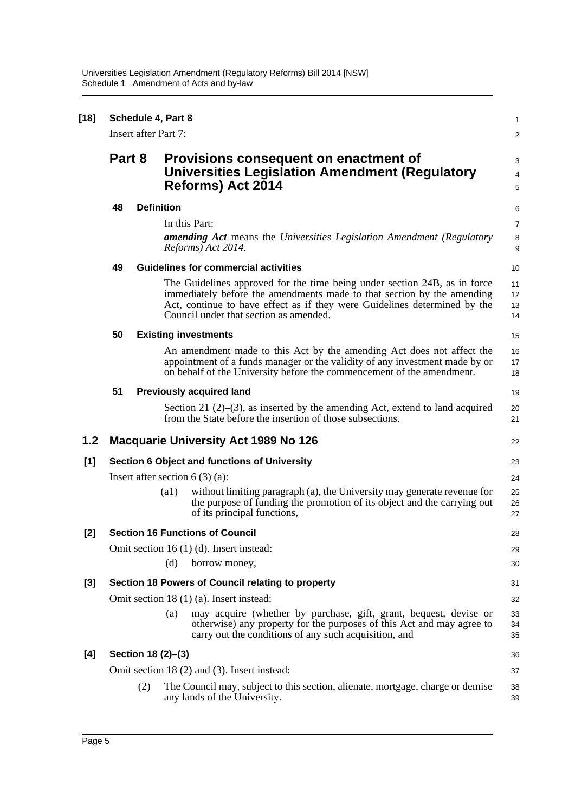| $[18]$ |        | Schedule 4, Part 8<br><b>Insert after Part 7:</b> |                                                                                                                     |                                                                                                                                                                                                                                                                            | 1<br>2                     |
|--------|--------|---------------------------------------------------|---------------------------------------------------------------------------------------------------------------------|----------------------------------------------------------------------------------------------------------------------------------------------------------------------------------------------------------------------------------------------------------------------------|----------------------------|
|        | Part 8 |                                                   | Provisions consequent on enactment of<br><b>Universities Legislation Amendment (Regulatory</b><br>Reforms) Act 2014 |                                                                                                                                                                                                                                                                            | 3<br>$\overline{4}$<br>5   |
|        | 48     | <b>Definition</b>                                 |                                                                                                                     |                                                                                                                                                                                                                                                                            | 6                          |
|        |        |                                                   |                                                                                                                     | In this Part:<br><b>amending Act</b> means the Universities Legislation Amendment (Regulatory<br>Reforms) Act 2014.                                                                                                                                                        | 7<br>8<br>$\boldsymbol{9}$ |
|        | 49     |                                                   |                                                                                                                     | <b>Guidelines for commercial activities</b>                                                                                                                                                                                                                                | 10                         |
|        |        |                                                   |                                                                                                                     | The Guidelines approved for the time being under section 24B, as in force<br>immediately before the amendments made to that section by the amending<br>Act, continue to have effect as if they were Guidelines determined by the<br>Council under that section as amended. | 11<br>12<br>13<br>14       |
|        | 50     |                                                   |                                                                                                                     | <b>Existing investments</b>                                                                                                                                                                                                                                                | 15                         |
|        |        |                                                   |                                                                                                                     | An amendment made to this Act by the amending Act does not affect the<br>appointment of a funds manager or the validity of any investment made by or<br>on behalf of the University before the commencement of the amendment.                                              | 16<br>17<br>18             |
|        | 51     |                                                   |                                                                                                                     | <b>Previously acquired land</b>                                                                                                                                                                                                                                            | 19                         |
|        |        |                                                   |                                                                                                                     | Section 21 $(2)$ – $(3)$ , as inserted by the amending Act, extend to land acquired<br>from the State before the insertion of those subsections.                                                                                                                           | 20<br>21                   |
| 1.2    |        |                                                   |                                                                                                                     | <b>Macquarie University Act 1989 No 126</b>                                                                                                                                                                                                                                | 22                         |
| $[1]$  |        |                                                   |                                                                                                                     | <b>Section 6 Object and functions of University</b>                                                                                                                                                                                                                        | 23                         |
|        |        |                                                   |                                                                                                                     | Insert after section $6(3)(a)$ :                                                                                                                                                                                                                                           | 24                         |
|        |        |                                                   | $\left( a1\right)$                                                                                                  | without limiting paragraph (a), the University may generate revenue for<br>the purpose of funding the promotion of its object and the carrying out<br>of its principal functions,                                                                                          | 25<br>26<br>27             |
| [2]    |        |                                                   |                                                                                                                     | <b>Section 16 Functions of Council</b>                                                                                                                                                                                                                                     | 28                         |
|        |        |                                                   | (d)                                                                                                                 | Omit section 16 $(1)$ $(d)$ . Insert instead:<br>borrow money,                                                                                                                                                                                                             | 29<br>30                   |
| $[3]$  |        |                                                   |                                                                                                                     | Section 18 Powers of Council relating to property                                                                                                                                                                                                                          | 31                         |
|        |        |                                                   |                                                                                                                     | Omit section 18 (1) (a). Insert instead:                                                                                                                                                                                                                                   | 32                         |
|        |        |                                                   | (a)                                                                                                                 | may acquire (whether by purchase, gift, grant, bequest, devise or<br>otherwise) any property for the purposes of this Act and may agree to<br>carry out the conditions of any such acquisition, and                                                                        | 33<br>34<br>35             |
| [4]    |        | Section 18 (2)-(3)                                |                                                                                                                     |                                                                                                                                                                                                                                                                            | 36                         |
|        |        |                                                   |                                                                                                                     | Omit section 18 (2) and (3). Insert instead:                                                                                                                                                                                                                               | 37                         |
|        |        | (2)                                               |                                                                                                                     | The Council may, subject to this section, alienate, mortgage, charge or demise<br>any lands of the University.                                                                                                                                                             | 38<br>39                   |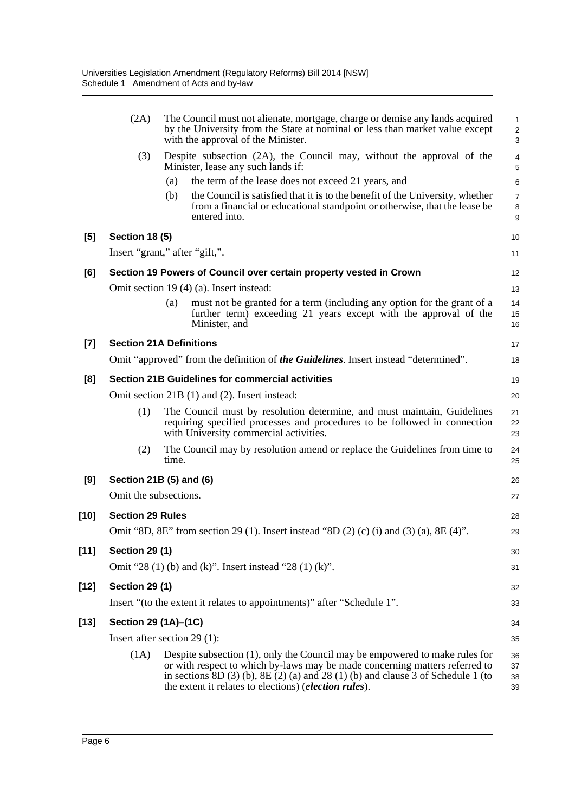|        | (2A)                    | The Council must not alienate, mortgage, charge or demise any lands acquired<br>by the University from the State at nominal or less than market value except<br>with the approval of the Minister.                                                                                                                  | 1<br>$\overline{\mathbf{c}}$<br>3 |
|--------|-------------------------|---------------------------------------------------------------------------------------------------------------------------------------------------------------------------------------------------------------------------------------------------------------------------------------------------------------------|-----------------------------------|
|        | (3)                     | Despite subsection (2A), the Council may, without the approval of the<br>Minister, lease any such lands if:                                                                                                                                                                                                         | 4<br>5                            |
|        |                         | the term of the lease does not exceed 21 years, and<br>(a)                                                                                                                                                                                                                                                          | 6                                 |
|        |                         | the Council is satisfied that it is to the benefit of the University, whether<br>(b)<br>from a financial or educational standpoint or otherwise, that the lease be<br>entered into.                                                                                                                                 | 7<br>8<br>9                       |
| [5]    | <b>Section 18 (5)</b>   |                                                                                                                                                                                                                                                                                                                     | 10                                |
|        |                         | Insert "grant," after "gift,".                                                                                                                                                                                                                                                                                      | 11                                |
| [6]    |                         | Section 19 Powers of Council over certain property vested in Crown                                                                                                                                                                                                                                                  | 12                                |
|        |                         | Omit section 19 (4) (a). Insert instead:                                                                                                                                                                                                                                                                            | 13                                |
|        |                         | must not be granted for a term (including any option for the grant of a<br>(a)<br>further term) exceeding 21 years except with the approval of the<br>Minister, and                                                                                                                                                 | 14<br>15<br>16                    |
| $[7]$  |                         | <b>Section 21A Definitions</b>                                                                                                                                                                                                                                                                                      | 17                                |
|        |                         | Omit "approved" from the definition of the Guidelines. Insert instead "determined".                                                                                                                                                                                                                                 | 18                                |
| [8]    |                         | <b>Section 21B Guidelines for commercial activities</b>                                                                                                                                                                                                                                                             | 19                                |
|        |                         | Omit section 21B (1) and (2). Insert instead:                                                                                                                                                                                                                                                                       | 20                                |
|        | (1)                     | The Council must by resolution determine, and must maintain, Guidelines<br>requiring specified processes and procedures to be followed in connection<br>with University commercial activities.                                                                                                                      | 21<br>22<br>23                    |
|        | (2)                     | The Council may by resolution amend or replace the Guidelines from time to<br>time.                                                                                                                                                                                                                                 | 24<br>25                          |
| [9]    |                         | Section 21B (5) and (6)                                                                                                                                                                                                                                                                                             | 26                                |
|        | Omit the subsections.   |                                                                                                                                                                                                                                                                                                                     | 27                                |
| [10]   | <b>Section 29 Rules</b> |                                                                                                                                                                                                                                                                                                                     | 28                                |
|        |                         | Omit "8D, 8E" from section 29 (1). Insert instead "8D (2) (c) (i) and (3) (a), 8E (4)".                                                                                                                                                                                                                             | 29                                |
| $[11]$ | <b>Section 29 (1)</b>   |                                                                                                                                                                                                                                                                                                                     | 30                                |
|        |                         | Omit "28 (1) (b) and (k)". Insert instead "28 (1) (k)".                                                                                                                                                                                                                                                             | 31                                |
| $[12]$ | <b>Section 29 (1)</b>   |                                                                                                                                                                                                                                                                                                                     | 32                                |
|        |                         | Insert "(to the extent it relates to appointments)" after "Schedule 1".                                                                                                                                                                                                                                             | 33                                |
| [13]   | Section 29 (1A)–(1C)    |                                                                                                                                                                                                                                                                                                                     | 34                                |
|        |                         | Insert after section $29(1)$ :                                                                                                                                                                                                                                                                                      | 35                                |
|        | (1A)                    | Despite subsection (1), only the Council may be empowered to make rules for<br>or with respect to which by-laws may be made concerning matters referred to<br>in sections $8D(3)$ (b), $8E(2)$ (a) and $28(1)$ (b) and clause 3 of Schedule 1 (to<br>the extent it relates to elections) ( <i>election rules</i> ). | 36<br>37<br>38<br>39              |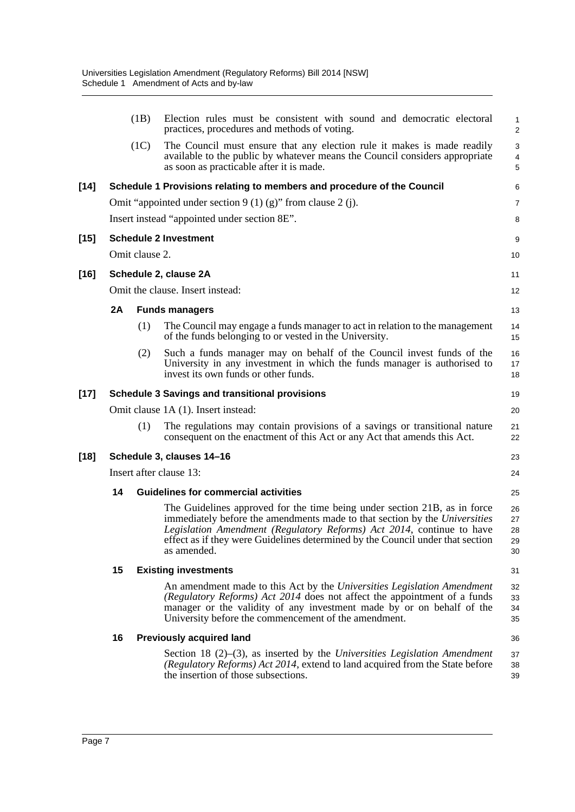|        |                               | (1B)           | Election rules must be consistent with sound and democratic electoral<br>practices, procedures and methods of voting.                                                                                                                                                                                                             | $\mathbf{1}$<br>$\overline{2}$    |  |
|--------|-------------------------------|----------------|-----------------------------------------------------------------------------------------------------------------------------------------------------------------------------------------------------------------------------------------------------------------------------------------------------------------------------------|-----------------------------------|--|
|        |                               | (1C)           | The Council must ensure that any election rule it makes is made readily<br>available to the public by whatever means the Council considers appropriate<br>as soon as practicable after it is made.                                                                                                                                | 3<br>$\overline{\mathbf{4}}$<br>5 |  |
| $[14]$ |                               |                | Schedule 1 Provisions relating to members and procedure of the Council                                                                                                                                                                                                                                                            | 6                                 |  |
|        |                               |                | Omit "appointed under section $9(1)(g)$ " from clause 2(j).                                                                                                                                                                                                                                                                       | 7                                 |  |
|        |                               |                | Insert instead "appointed under section 8E".                                                                                                                                                                                                                                                                                      | 8                                 |  |
| [15]   |                               |                | <b>Schedule 2 Investment</b>                                                                                                                                                                                                                                                                                                      | 9                                 |  |
|        |                               | Omit clause 2. |                                                                                                                                                                                                                                                                                                                                   | 10                                |  |
| $[16]$ |                               |                | Schedule 2, clause 2A                                                                                                                                                                                                                                                                                                             | 11                                |  |
|        |                               |                | Omit the clause. Insert instead:                                                                                                                                                                                                                                                                                                  | 12                                |  |
|        | 2A                            |                | <b>Funds managers</b>                                                                                                                                                                                                                                                                                                             | 13                                |  |
|        |                               | (1)            | The Council may engage a funds manager to act in relation to the management<br>of the funds belonging to or vested in the University.                                                                                                                                                                                             | 14<br>15                          |  |
|        |                               | (2)            | Such a funds manager may on behalf of the Council invest funds of the<br>University in any investment in which the funds manager is authorised to<br>invest its own funds or other funds.                                                                                                                                         | 16<br>17<br>18                    |  |
| [17]   |                               |                | <b>Schedule 3 Savings and transitional provisions</b>                                                                                                                                                                                                                                                                             | 19                                |  |
|        |                               |                | Omit clause 1A (1). Insert instead:                                                                                                                                                                                                                                                                                               | 20                                |  |
|        |                               | (1)            | The regulations may contain provisions of a savings or transitional nature<br>consequent on the enactment of this Act or any Act that amends this Act.                                                                                                                                                                            | 21<br>22                          |  |
| $[18]$ | Schedule 3, clauses 14-16     |                |                                                                                                                                                                                                                                                                                                                                   |                                   |  |
|        | Insert after clause 13:<br>24 |                |                                                                                                                                                                                                                                                                                                                                   |                                   |  |
|        | 14                            |                | <b>Guidelines for commercial activities</b>                                                                                                                                                                                                                                                                                       | 25                                |  |
|        |                               |                | The Guidelines approved for the time being under section 21B, as in force<br>immediately before the amendments made to that section by the Universities<br>Legislation Amendment (Regulatory Reforms) Act 2014, continue to have<br>effect as if they were Guidelines determined by the Council under that section<br>as amended. | 26<br>27<br>28<br>29<br>30        |  |
|        | 15                            |                | <b>Existing investments</b>                                                                                                                                                                                                                                                                                                       | 31                                |  |
|        |                               |                | An amendment made to this Act by the Universities Legislation Amendment<br>(Regulatory Reforms) Act 2014 does not affect the appointment of a funds<br>manager or the validity of any investment made by or on behalf of the<br>University before the commencement of the amendment.                                              | 32<br>33<br>34<br>35              |  |
|        | 16                            |                | <b>Previously acquired land</b>                                                                                                                                                                                                                                                                                                   | 36                                |  |
|        |                               |                | Section 18 $(2)$ – $(3)$ , as inserted by the Universities Legislation Amendment<br>(Regulatory Reforms) Act 2014, extend to land acquired from the State before<br>the insertion of those subsections.                                                                                                                           | 37<br>38<br>39                    |  |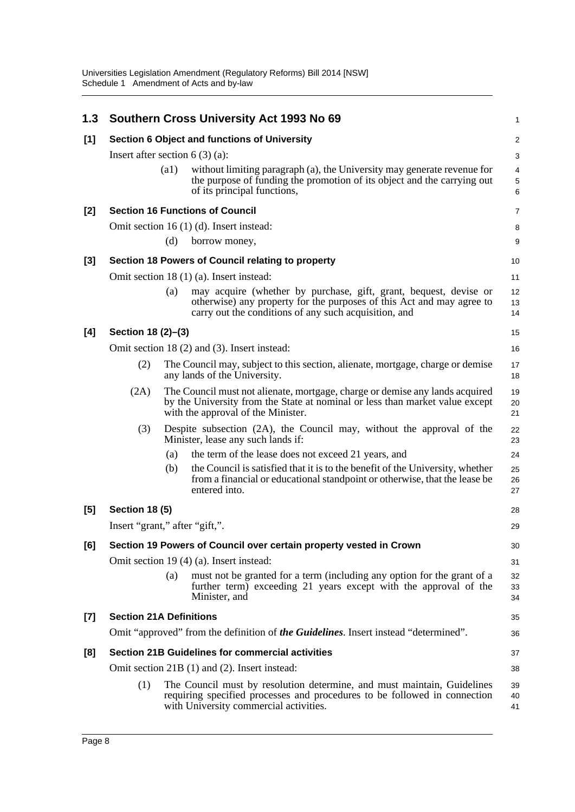| 1.3   |                                  |      | Southern Cross University Act 1993 No 69                                                                                                                                                            | 1                                   |
|-------|----------------------------------|------|-----------------------------------------------------------------------------------------------------------------------------------------------------------------------------------------------------|-------------------------------------|
| [1]   |                                  |      | Section 6 Object and functions of University                                                                                                                                                        | $\overline{c}$                      |
|       | Insert after section $6(3)(a)$ : |      |                                                                                                                                                                                                     | 3                                   |
|       |                                  | (a1) | without limiting paragraph (a), the University may generate revenue for<br>the purpose of funding the promotion of its object and the carrying out<br>of its principal functions,                   | 4<br>$\,$ 5 $\,$<br>$6\phantom{1}6$ |
| [2]   |                                  |      | <b>Section 16 Functions of Council</b>                                                                                                                                                              | 7                                   |
|       |                                  |      | Omit section 16 (1) (d). Insert instead:                                                                                                                                                            | 8                                   |
|       |                                  | (d)  | borrow money,                                                                                                                                                                                       | 9                                   |
| $[3]$ |                                  |      | Section 18 Powers of Council relating to property                                                                                                                                                   | 10                                  |
|       |                                  |      | Omit section 18 (1) (a). Insert instead:                                                                                                                                                            | 11                                  |
|       |                                  | (a)  | may acquire (whether by purchase, gift, grant, bequest, devise or<br>otherwise) any property for the purposes of this Act and may agree to<br>carry out the conditions of any such acquisition, and | 12<br>13<br>14                      |
| [4]   | Section 18 (2)-(3)               |      |                                                                                                                                                                                                     | 15                                  |
|       |                                  |      | Omit section 18 (2) and (3). Insert instead:                                                                                                                                                        | 16                                  |
|       | (2)                              |      | The Council may, subject to this section, alienate, mortgage, charge or demise<br>any lands of the University.                                                                                      | 17<br>18                            |
|       | (2A)                             |      | The Council must not alienate, mortgage, charge or demise any lands acquired<br>by the University from the State at nominal or less than market value except<br>with the approval of the Minister.  | 19<br>20<br>21                      |
|       | (3)                              |      | Despite subsection (2A), the Council may, without the approval of the<br>Minister, lease any such lands if:                                                                                         | 22<br>23                            |
|       |                                  | (a)  | the term of the lease does not exceed 21 years, and                                                                                                                                                 | 24                                  |
|       |                                  | (b)  | the Council is satisfied that it is to the benefit of the University, whether<br>from a financial or educational standpoint or otherwise, that the lease be<br>entered into.                        | 25<br>26<br>27                      |
| [5]   | <b>Section 18 (5)</b>            |      |                                                                                                                                                                                                     | 28                                  |
|       | Insert "grant," after "gift,".   |      |                                                                                                                                                                                                     | 29                                  |
| [6]   |                                  |      | Section 19 Powers of Council over certain property vested in Crown                                                                                                                                  | 30                                  |
|       |                                  |      | Omit section 19 (4) (a). Insert instead:                                                                                                                                                            | 31                                  |
|       |                                  | (a)  | must not be granted for a term (including any option for the grant of a<br>further term) exceeding 21 years except with the approval of the<br>Minister, and                                        | 32<br>33<br>34                      |
| [7]   | <b>Section 21A Definitions</b>   |      |                                                                                                                                                                                                     | 35                                  |
|       |                                  |      | Omit "approved" from the definition of <b>the Guidelines</b> . Insert instead "determined".                                                                                                         | 36                                  |
| [8]   |                                  |      | <b>Section 21B Guidelines for commercial activities</b>                                                                                                                                             | 37                                  |
|       |                                  |      | Omit section 21B (1) and (2). Insert instead:                                                                                                                                                       | 38                                  |
|       | (1)                              |      | The Council must by resolution determine, and must maintain, Guidelines<br>requiring specified processes and procedures to be followed in connection<br>with University commercial activities.      | 39<br>40<br>41                      |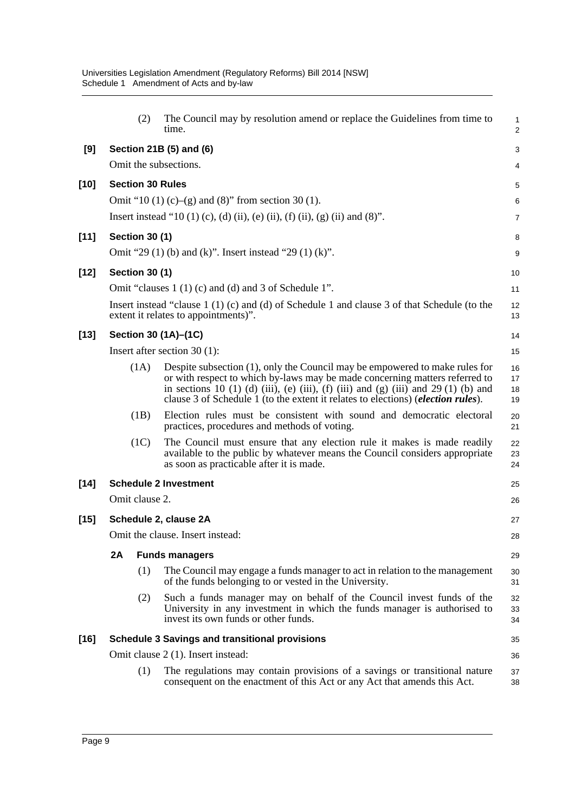|        |    | (2)                     | The Council may by resolution amend or replace the Guidelines from time to<br>time.                                                                                                                                                                                                                                                            | $\mathbf{1}$<br>$\overline{c}$ |
|--------|----|-------------------------|------------------------------------------------------------------------------------------------------------------------------------------------------------------------------------------------------------------------------------------------------------------------------------------------------------------------------------------------|--------------------------------|
| [9]    |    |                         | Section 21B (5) and (6)                                                                                                                                                                                                                                                                                                                        | 3                              |
|        |    |                         | Omit the subsections.                                                                                                                                                                                                                                                                                                                          | 4                              |
| $[10]$ |    | <b>Section 30 Rules</b> |                                                                                                                                                                                                                                                                                                                                                | 5                              |
|        |    |                         | Omit "10 (1) (c)–(g) and (8)" from section 30 (1).                                                                                                                                                                                                                                                                                             | 6                              |
|        |    |                         | Insert instead "10 (1) (c), (d) (ii), (e) (ii), (f) (ii), (g) (ii) and (8)".                                                                                                                                                                                                                                                                   | 7                              |
| $[11]$ |    | <b>Section 30 (1)</b>   |                                                                                                                                                                                                                                                                                                                                                | 8                              |
|        |    |                         | Omit "29 (1) (b) and (k)". Insert instead "29 (1) (k)".                                                                                                                                                                                                                                                                                        | 9                              |
| $[12]$ |    | <b>Section 30 (1)</b>   |                                                                                                                                                                                                                                                                                                                                                | 10                             |
|        |    |                         | Omit "clauses 1 (1) (c) and (d) and 3 of Schedule 1".                                                                                                                                                                                                                                                                                          | 11                             |
|        |    |                         | Insert instead "clause $1(1)(c)$ and (d) of Schedule 1 and clause 3 of that Schedule (to the<br>extent it relates to appointments)".                                                                                                                                                                                                           | 12<br>13                       |
| $[13]$ |    |                         | Section 30 (1A)-(1C)                                                                                                                                                                                                                                                                                                                           | 14                             |
|        |    |                         | Insert after section $30(1)$ :                                                                                                                                                                                                                                                                                                                 | 15                             |
|        |    | (1A)                    | Despite subsection (1), only the Council may be empowered to make rules for<br>or with respect to which by-laws may be made concerning matters referred to<br>in sections 10 (1) (d) (iii), (e) (iii), (f) (iii) and (g) (iii) and 29 (1) (b) and<br>clause 3 of Schedule 1 (to the extent it relates to elections) ( <i>election rules</i> ). | 16<br>17<br>18<br>19           |
|        |    | (1B)                    | Election rules must be consistent with sound and democratic electoral<br>practices, procedures and methods of voting.                                                                                                                                                                                                                          | 20<br>21                       |
|        |    | (1C)                    | The Council must ensure that any election rule it makes is made readily<br>available to the public by whatever means the Council considers appropriate<br>as soon as practicable after it is made.                                                                                                                                             | 22<br>23<br>24                 |
| $[14]$ |    |                         | <b>Schedule 2 Investment</b>                                                                                                                                                                                                                                                                                                                   | 25                             |
|        |    | Omit clause 2.          |                                                                                                                                                                                                                                                                                                                                                | 26                             |
| $[15]$ |    |                         | Schedule 2, clause 2A                                                                                                                                                                                                                                                                                                                          | 27                             |
|        |    |                         | Omit the clause. Insert instead:                                                                                                                                                                                                                                                                                                               | 28                             |
|        | 2A |                         | <b>Funds managers</b>                                                                                                                                                                                                                                                                                                                          | 29                             |
|        |    | (1)                     | The Council may engage a funds manager to act in relation to the management<br>of the funds belonging to or vested in the University.                                                                                                                                                                                                          | 30<br>31                       |
|        |    | (2)                     | Such a funds manager may on behalf of the Council invest funds of the<br>University in any investment in which the funds manager is authorised to<br>invest its own funds or other funds.                                                                                                                                                      | 32<br>33<br>34                 |
| $[16]$ |    |                         | <b>Schedule 3 Savings and transitional provisions</b>                                                                                                                                                                                                                                                                                          | 35                             |
|        |    |                         | Omit clause 2 (1). Insert instead:                                                                                                                                                                                                                                                                                                             | 36                             |
|        |    | (1)                     | The regulations may contain provisions of a savings or transitional nature<br>consequent on the enactment of this Act or any Act that amends this Act.                                                                                                                                                                                         | 37<br>38                       |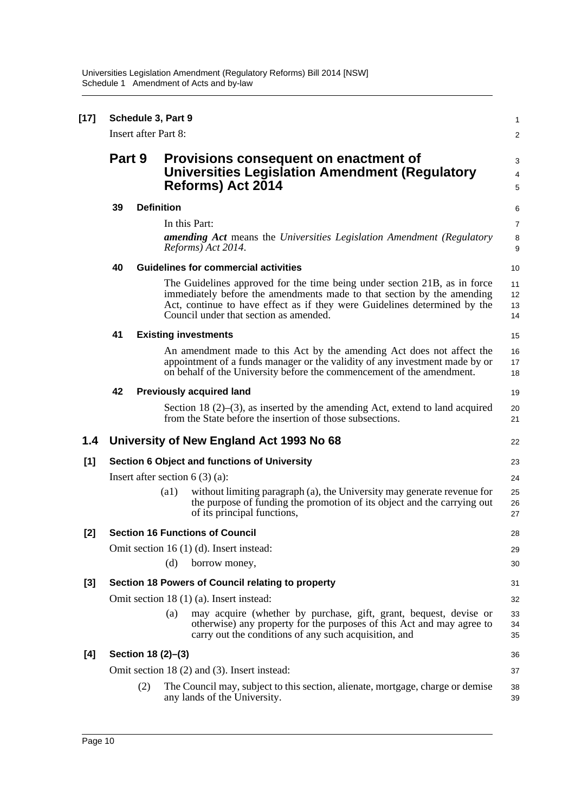| $[17]$ |        | Schedule 3, Part 9<br><b>Insert after Part 8:</b> |                    |                                                                                                                                                                                                                                                                            | 1<br>2                   |
|--------|--------|---------------------------------------------------|--------------------|----------------------------------------------------------------------------------------------------------------------------------------------------------------------------------------------------------------------------------------------------------------------------|--------------------------|
|        | Part 9 |                                                   |                    | Provisions consequent on enactment of<br><b>Universities Legislation Amendment (Regulatory</b><br>Reforms) Act 2014                                                                                                                                                        | 3<br>4<br>5              |
|        | 39     |                                                   | <b>Definition</b>  |                                                                                                                                                                                                                                                                            | 6                        |
|        |        |                                                   |                    | In this Part:<br><b>amending Act</b> means the Universities Legislation Amendment (Regulatory<br>Reforms) Act 2014.                                                                                                                                                        | $\overline{7}$<br>8<br>9 |
|        | 40     |                                                   |                    | <b>Guidelines for commercial activities</b>                                                                                                                                                                                                                                | 10                       |
|        |        |                                                   |                    | The Guidelines approved for the time being under section 21B, as in force<br>immediately before the amendments made to that section by the amending<br>Act, continue to have effect as if they were Guidelines determined by the<br>Council under that section as amended. | 11<br>12<br>13<br>14     |
|        | 41     |                                                   |                    | <b>Existing investments</b>                                                                                                                                                                                                                                                | 15                       |
|        |        |                                                   |                    | An amendment made to this Act by the amending Act does not affect the<br>appointment of a funds manager or the validity of any investment made by or<br>on behalf of the University before the commencement of the amendment.                                              | 16<br>17<br>18           |
|        | 42     |                                                   |                    | <b>Previously acquired land</b>                                                                                                                                                                                                                                            | 19                       |
|        |        |                                                   |                    | Section 18 $(2)$ – $(3)$ , as inserted by the amending Act, extend to land acquired<br>from the State before the insertion of those subsections.                                                                                                                           | 20<br>21                 |
| 1.4    |        |                                                   |                    | University of New England Act 1993 No 68                                                                                                                                                                                                                                   | 22                       |
| $[1]$  |        |                                                   |                    | <b>Section 6 Object and functions of University</b>                                                                                                                                                                                                                        | 23                       |
|        |        |                                                   |                    | Insert after section $6(3)(a)$ :                                                                                                                                                                                                                                           | 24                       |
|        |        |                                                   | $\left( a1\right)$ | without limiting paragraph (a), the University may generate revenue for<br>the purpose of funding the promotion of its object and the carrying out<br>of its principal functions,                                                                                          | 25<br>26<br>27           |
| $[2]$  |        |                                                   |                    | <b>Section 16 Functions of Council</b>                                                                                                                                                                                                                                     | 28                       |
|        |        |                                                   | (d)                | Omit section 16 (1) (d). Insert instead:<br>borrow money,                                                                                                                                                                                                                  | 29<br>30                 |
| $[3]$  |        |                                                   |                    | Section 18 Powers of Council relating to property                                                                                                                                                                                                                          | 31                       |
|        |        |                                                   |                    | Omit section 18 (1) (a). Insert instead:                                                                                                                                                                                                                                   | 32                       |
|        |        |                                                   | (a)                | may acquire (whether by purchase, gift, grant, bequest, devise or<br>otherwise) any property for the purposes of this Act and may agree to<br>carry out the conditions of any such acquisition, and                                                                        | 33<br>34<br>35           |
| [4]    |        | Section 18 (2)-(3)                                |                    |                                                                                                                                                                                                                                                                            | 36                       |
|        |        |                                                   |                    | Omit section 18 (2) and (3). Insert instead:                                                                                                                                                                                                                               | 37                       |
|        |        | (2)                                               |                    | The Council may, subject to this section, alienate, mortgage, charge or demise<br>any lands of the University.                                                                                                                                                             | 38<br>39                 |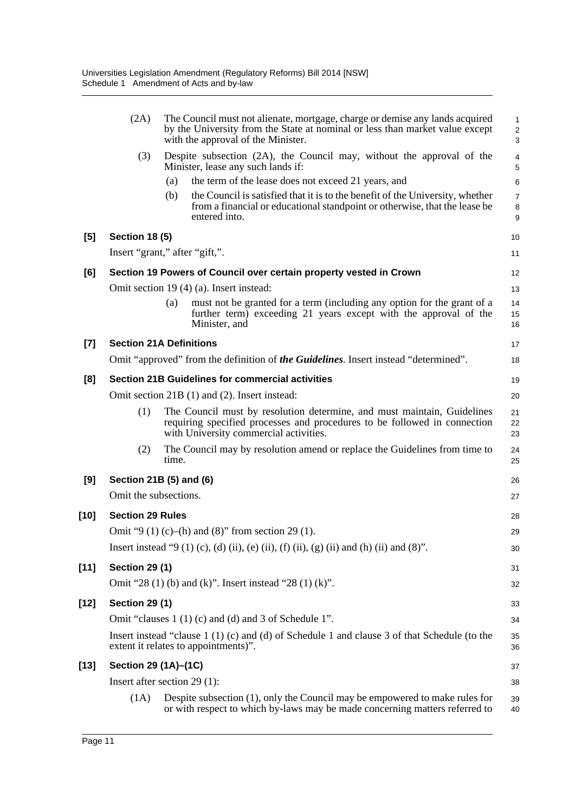|        | (2A)                    | The Council must not alienate, mortgage, charge or demise any lands acquired<br>by the University from the State at nominal or less than market value except<br>with the approval of the Minister. | 1<br>$\overline{\mathbf{c}}$<br>3 |
|--------|-------------------------|----------------------------------------------------------------------------------------------------------------------------------------------------------------------------------------------------|-----------------------------------|
|        | (3)                     | Despite subsection (2A), the Council may, without the approval of the<br>Minister, lease any such lands if:                                                                                        | 4<br>5                            |
|        |                         | the term of the lease does not exceed 21 years, and<br>(a)                                                                                                                                         | 6                                 |
|        |                         | the Council is satisfied that it is to the benefit of the University, whether<br>(b)<br>from a financial or educational standpoint or otherwise, that the lease be<br>entered into.                | 7<br>8<br>9                       |
| $[5]$  | <b>Section 18 (5)</b>   |                                                                                                                                                                                                    | 10                                |
|        |                         | Insert "grant," after "gift,".                                                                                                                                                                     | 11                                |
| [6]    |                         | Section 19 Powers of Council over certain property vested in Crown                                                                                                                                 | 12                                |
|        |                         | Omit section 19 (4) (a). Insert instead:                                                                                                                                                           | 13                                |
|        |                         | must not be granted for a term (including any option for the grant of a<br>(a)<br>further term) exceeding 21 years except with the approval of the<br>Minister, and                                | 14<br>15<br>16                    |
| $[7]$  |                         | <b>Section 21A Definitions</b>                                                                                                                                                                     | 17                                |
|        |                         | Omit "approved" from the definition of the Guidelines. Insert instead "determined".                                                                                                                | 18                                |
| [8]    |                         | <b>Section 21B Guidelines for commercial activities</b>                                                                                                                                            | 19                                |
|        |                         | Omit section 21B (1) and (2). Insert instead:                                                                                                                                                      | 20                                |
|        | (1)                     | The Council must by resolution determine, and must maintain, Guidelines<br>requiring specified processes and procedures to be followed in connection<br>with University commercial activities.     | 21<br>22<br>23                    |
|        | (2)                     | The Council may by resolution amend or replace the Guidelines from time to<br>time.                                                                                                                | 24<br>25                          |
| [9]    |                         | Section 21B (5) and (6)                                                                                                                                                                            | 26                                |
|        | Omit the subsections.   |                                                                                                                                                                                                    | 27                                |
| $[10]$ | <b>Section 29 Rules</b> |                                                                                                                                                                                                    | 28                                |
|        |                         | Omit "9 (1) (c)–(h) and (8)" from section 29 (1).                                                                                                                                                  | 29                                |
|        |                         | Insert instead "9 (1) (c), (d) (ii), (e) (ii), (f) (ii), (g) (ii) and (h) (ii) and (8)".                                                                                                           | 30                                |
| $[11]$ | <b>Section 29 (1)</b>   |                                                                                                                                                                                                    | 31                                |
|        |                         | Omit "28 (1) (b) and (k)". Insert instead "28 (1) (k)".                                                                                                                                            | 32                                |
| [12]   | <b>Section 29 (1)</b>   |                                                                                                                                                                                                    | 33                                |
|        |                         | Omit "clauses 1 (1) (c) and (d) and 3 of Schedule 1".                                                                                                                                              | 34                                |
|        |                         | Insert instead "clause $1(1)(c)$ and (d) of Schedule 1 and clause 3 of that Schedule (to the<br>extent it relates to appointments)".                                                               | 35<br>36                          |
| [13]   | Section 29 (1A)-(1C)    |                                                                                                                                                                                                    | 37                                |
|        |                         | Insert after section $29(1)$ :                                                                                                                                                                     | 38                                |
|        | (1A)                    | Despite subsection (1), only the Council may be empowered to make rules for<br>or with respect to which by-laws may be made concerning matters referred to                                         | 39<br>40                          |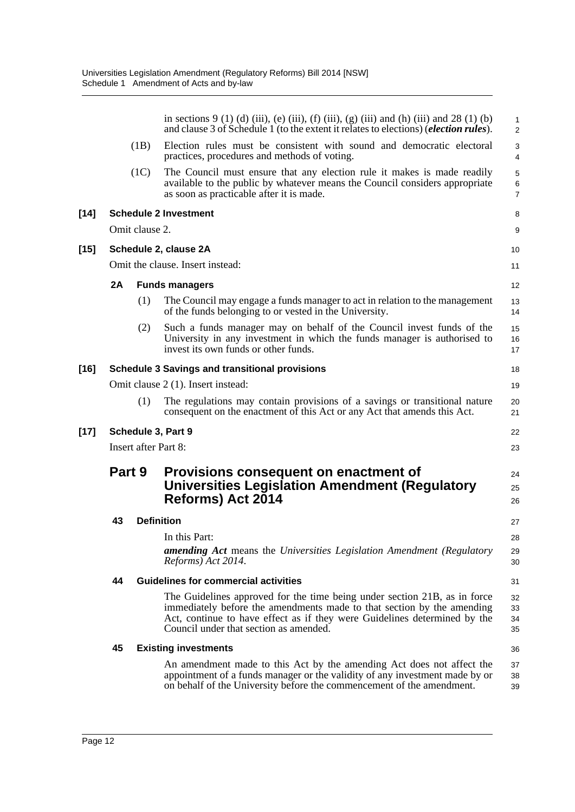|        |                                   |                | in sections 9 (1) (d) (iii), (e) (iii), (f) (iii), (g) (iii) and (h) (iii) and 28 (1) (b)<br>and clause 3 of Schedule 1 (to the extent it relates to elections) ( <i>election rules</i> ).                                                                                 | $\mathbf{1}$<br>$\overline{2}$ |  |  |
|--------|-----------------------------------|----------------|----------------------------------------------------------------------------------------------------------------------------------------------------------------------------------------------------------------------------------------------------------------------------|--------------------------------|--|--|
|        |                                   | (1B)           | Election rules must be consistent with sound and democratic electoral<br>practices, procedures and methods of voting.                                                                                                                                                      | 3<br>$\overline{4}$            |  |  |
|        |                                   | (1C)           | The Council must ensure that any election rule it makes is made readily<br>available to the public by whatever means the Council considers appropriate<br>as soon as practicable after it is made.                                                                         | 5<br>$\,6\,$<br>$\overline{7}$ |  |  |
| $[14]$ |                                   |                | <b>Schedule 2 Investment</b>                                                                                                                                                                                                                                               | 8                              |  |  |
|        |                                   | Omit clause 2. |                                                                                                                                                                                                                                                                            | 9                              |  |  |
| $[15]$ |                                   |                | Schedule 2, clause 2A                                                                                                                                                                                                                                                      | 10                             |  |  |
|        |                                   |                | Omit the clause. Insert instead:                                                                                                                                                                                                                                           | 11                             |  |  |
|        | 2A                                |                | <b>Funds managers</b>                                                                                                                                                                                                                                                      | 12                             |  |  |
|        |                                   | (1)            | The Council may engage a funds manager to act in relation to the management<br>of the funds belonging to or vested in the University.                                                                                                                                      | 13<br>14                       |  |  |
|        |                                   | (2)            | Such a funds manager may on behalf of the Council invest funds of the<br>University in any investment in which the funds manager is authorised to<br>invest its own funds or other funds.                                                                                  | 15<br>16<br>17                 |  |  |
| [16]   |                                   |                | <b>Schedule 3 Savings and transitional provisions</b>                                                                                                                                                                                                                      | 18                             |  |  |
|        |                                   |                | Omit clause 2 (1). Insert instead:                                                                                                                                                                                                                                         | 19                             |  |  |
|        |                                   | (1)            | The regulations may contain provisions of a savings or transitional nature<br>consequent on the enactment of this Act or any Act that amends this Act.                                                                                                                     | 20<br>21                       |  |  |
| $[17]$ |                                   |                | Schedule 3, Part 9                                                                                                                                                                                                                                                         | 22                             |  |  |
|        | <b>Insert after Part 8:</b><br>23 |                |                                                                                                                                                                                                                                                                            |                                |  |  |
|        | Part 9                            |                | Provisions consequent on enactment of<br><b>Universities Legislation Amendment (Regulatory</b><br>Reforms) Act 2014                                                                                                                                                        | 24<br>25<br>26                 |  |  |
|        | 43                                |                | <b>Definition</b>                                                                                                                                                                                                                                                          | 27                             |  |  |
|        |                                   |                | In this Part:<br>amending Act means the Universities Legislation Amendment (Regulatory<br>Reforms) Act 2014.                                                                                                                                                               | 28<br>29<br>30                 |  |  |
|        | 44                                |                | <b>Guidelines for commercial activities</b>                                                                                                                                                                                                                                | 31                             |  |  |
|        |                                   |                | The Guidelines approved for the time being under section 21B, as in force<br>immediately before the amendments made to that section by the amending<br>Act, continue to have effect as if they were Guidelines determined by the<br>Council under that section as amended. | 32<br>33<br>34<br>35           |  |  |
|        |                                   |                |                                                                                                                                                                                                                                                                            |                                |  |  |
|        | 45                                |                | <b>Existing investments</b>                                                                                                                                                                                                                                                | 36                             |  |  |
|        |                                   |                | An amendment made to this Act by the amending Act does not affect the<br>appointment of a funds manager or the validity of any investment made by or<br>on behalf of the University before the commencement of the amendment.                                              | 37<br>38<br>39                 |  |  |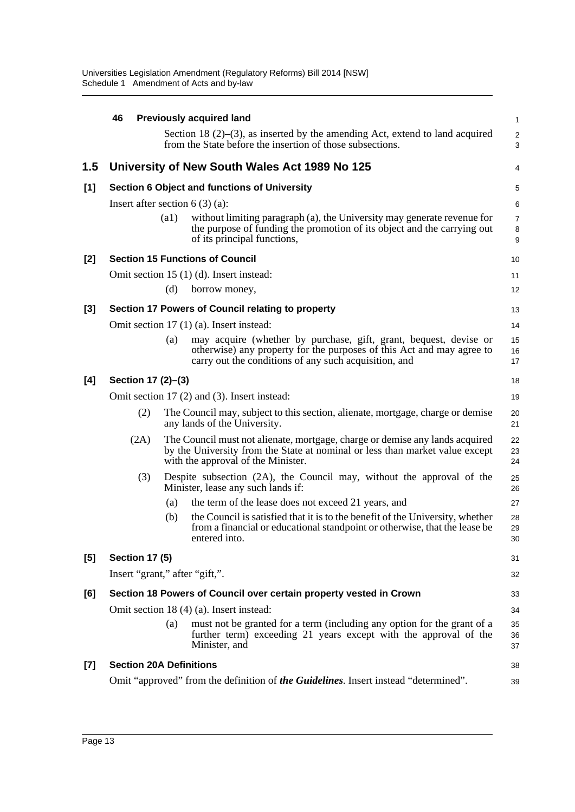|       | 46                                           |                    | <b>Previously acquired land</b>                                                                                                                                                                     | 1                        |  |  |
|-------|----------------------------------------------|--------------------|-----------------------------------------------------------------------------------------------------------------------------------------------------------------------------------------------------|--------------------------|--|--|
|       |                                              |                    | Section 18 $(2)$ – $(3)$ , as inserted by the amending Act, extend to land acquired<br>from the State before the insertion of those subsections.                                                    | $\overline{c}$<br>3      |  |  |
| 1.5   |                                              |                    | University of New South Wales Act 1989 No 125                                                                                                                                                       | 4                        |  |  |
| [1]   |                                              |                    | Section 6 Object and functions of University                                                                                                                                                        | 5                        |  |  |
|       | Insert after section $6(3)(a)$ :             |                    |                                                                                                                                                                                                     | 6                        |  |  |
|       |                                              | $\left( a1\right)$ | without limiting paragraph (a), the University may generate revenue for<br>the purpose of funding the promotion of its object and the carrying out<br>of its principal functions,                   | $\overline{7}$<br>8<br>9 |  |  |
| [2]   |                                              |                    | <b>Section 15 Functions of Council</b>                                                                                                                                                              | 10                       |  |  |
|       |                                              |                    | Omit section 15 (1) (d). Insert instead:                                                                                                                                                            | 11                       |  |  |
|       |                                              | (d)                | borrow money,                                                                                                                                                                                       | 12                       |  |  |
| $[3]$ |                                              |                    | Section 17 Powers of Council relating to property                                                                                                                                                   | 13                       |  |  |
|       |                                              |                    | Omit section 17 (1) (a). Insert instead:                                                                                                                                                            | 14                       |  |  |
|       |                                              | (a)                | may acquire (whether by purchase, gift, grant, bequest, devise or<br>otherwise) any property for the purposes of this Act and may agree to<br>carry out the conditions of any such acquisition, and | 15<br>16<br>17           |  |  |
| [4]   | Section 17 (2)-(3)                           |                    |                                                                                                                                                                                                     | 18                       |  |  |
|       | Omit section 17 (2) and (3). Insert instead: |                    |                                                                                                                                                                                                     |                          |  |  |
|       | (2)                                          |                    | The Council may, subject to this section, alienate, mortgage, charge or demise<br>any lands of the University.                                                                                      | 20<br>21                 |  |  |
|       | (2A)                                         |                    | The Council must not alienate, mortgage, charge or demise any lands acquired<br>by the University from the State at nominal or less than market value except<br>with the approval of the Minister.  | 22<br>23<br>24           |  |  |
|       | (3)                                          |                    | Despite subsection (2A), the Council may, without the approval of the<br>Minister, lease any such lands if:                                                                                         | 25<br>26                 |  |  |
|       |                                              | (a)                | the term of the lease does not exceed 21 years, and                                                                                                                                                 | 27                       |  |  |
|       |                                              | (b)                | the Council is satisfied that it is to the benefit of the University, whether<br>from a financial or educational standpoint or otherwise, that the lease be<br>entered into.                        | 28<br>29<br>30           |  |  |
| [5]   | <b>Section 17 (5)</b>                        |                    |                                                                                                                                                                                                     | 31                       |  |  |
|       | Insert "grant," after "gift,".               |                    |                                                                                                                                                                                                     | 32                       |  |  |
| [6]   |                                              |                    | Section 18 Powers of Council over certain property vested in Crown                                                                                                                                  | 33                       |  |  |
|       |                                              |                    | Omit section 18 (4) (a). Insert instead:                                                                                                                                                            | 34                       |  |  |
|       |                                              | (a)                | must not be granted for a term (including any option for the grant of a<br>further term) exceeding 21 years except with the approval of the<br>Minister, and                                        | 35<br>36<br>37           |  |  |
| $[7]$ | <b>Section 20A Definitions</b>               |                    |                                                                                                                                                                                                     | 38                       |  |  |
|       |                                              |                    | Omit "approved" from the definition of the Guidelines. Insert instead "determined".                                                                                                                 | 39                       |  |  |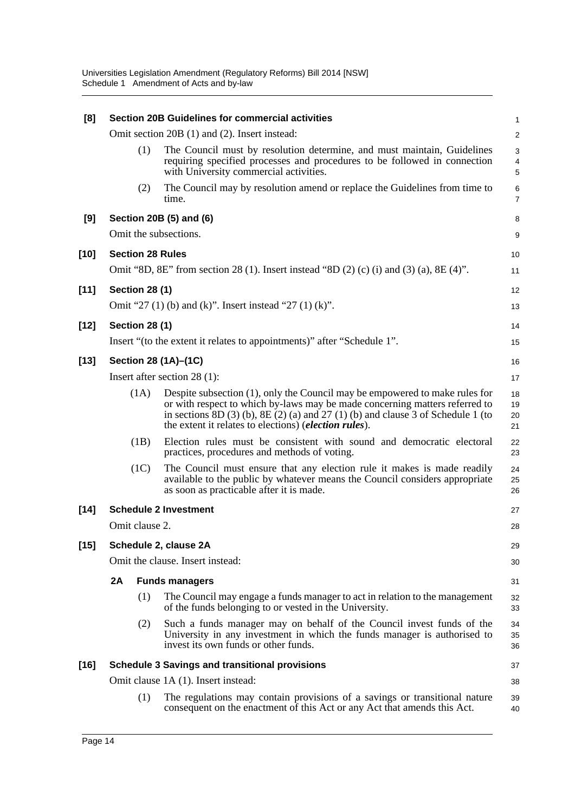| [8]    |                              |     | <b>Section 20B Guidelines for commercial activities</b>                                                                                                                                                                                                                                                             | 1                       |  |  |
|--------|------------------------------|-----|---------------------------------------------------------------------------------------------------------------------------------------------------------------------------------------------------------------------------------------------------------------------------------------------------------------------|-------------------------|--|--|
|        |                              |     | Omit section 20B (1) and (2). Insert instead:                                                                                                                                                                                                                                                                       | $\overline{\mathbf{c}}$ |  |  |
|        |                              | (1) | The Council must by resolution determine, and must maintain, Guidelines<br>requiring specified processes and procedures to be followed in connection<br>with University commercial activities.                                                                                                                      | 3<br>4<br>5             |  |  |
|        |                              | (2) | The Council may by resolution amend or replace the Guidelines from time to<br>time.                                                                                                                                                                                                                                 | 6<br>$\overline{7}$     |  |  |
| [9]    |                              |     | Section 20B (5) and (6)                                                                                                                                                                                                                                                                                             | 8                       |  |  |
|        |                              |     | Omit the subsections.                                                                                                                                                                                                                                                                                               | 9                       |  |  |
| $[10]$ | <b>Section 28 Rules</b>      |     |                                                                                                                                                                                                                                                                                                                     | 10                      |  |  |
|        |                              |     | Omit "8D, 8E" from section 28 (1). Insert instead "8D (2) (c) (i) and (3) (a), 8E (4)".                                                                                                                                                                                                                             | 11                      |  |  |
| $[11]$ | <b>Section 28 (1)</b>        |     |                                                                                                                                                                                                                                                                                                                     | 12                      |  |  |
|        |                              |     | Omit "27 (1) (b) and (k)". Insert instead "27 (1) (k)".                                                                                                                                                                                                                                                             | 13                      |  |  |
| $[12]$ | <b>Section 28 (1)</b>        |     |                                                                                                                                                                                                                                                                                                                     | 14                      |  |  |
|        |                              |     | Insert "(to the extent it relates to appointments)" after "Schedule 1".                                                                                                                                                                                                                                             | 15                      |  |  |
| $[13]$ |                              |     | Section 28 (1A)-(1C)                                                                                                                                                                                                                                                                                                | 16                      |  |  |
|        | Insert after section 28 (1): |     |                                                                                                                                                                                                                                                                                                                     |                         |  |  |
|        | (1A)                         |     | Despite subsection (1), only the Council may be empowered to make rules for<br>or with respect to which by-laws may be made concerning matters referred to<br>in sections $8D(3)$ (b), $8E(2)$ (a) and $27(1)$ (b) and clause 3 of Schedule 1 (to<br>the extent it relates to elections) ( <i>election rules</i> ). | 18<br>19<br>20<br>21    |  |  |
|        | (1B)                         |     | Election rules must be consistent with sound and democratic electoral<br>practices, procedures and methods of voting.                                                                                                                                                                                               | 22<br>23                |  |  |
|        | (1C)                         |     | The Council must ensure that any election rule it makes is made readily<br>available to the public by whatever means the Council considers appropriate<br>as soon as practicable after it is made.                                                                                                                  | 24<br>25<br>26          |  |  |
| $[14]$ |                              |     | <b>Schedule 2 Investment</b>                                                                                                                                                                                                                                                                                        | 27                      |  |  |
|        | Omit clause 2.               |     |                                                                                                                                                                                                                                                                                                                     | 28                      |  |  |
| $[15]$ |                              |     | Schedule 2, clause 2A                                                                                                                                                                                                                                                                                               | 29                      |  |  |
|        |                              |     | Omit the clause. Insert instead:                                                                                                                                                                                                                                                                                    | 30                      |  |  |
|        | 2A                           |     | <b>Funds managers</b>                                                                                                                                                                                                                                                                                               | 31                      |  |  |
|        |                              | (1) | The Council may engage a funds manager to act in relation to the management<br>of the funds belonging to or vested in the University.                                                                                                                                                                               | 32<br>33                |  |  |
|        |                              | (2) | Such a funds manager may on behalf of the Council invest funds of the<br>University in any investment in which the funds manager is authorised to<br>invest its own funds or other funds.                                                                                                                           | 34<br>35<br>36          |  |  |
| $[16]$ |                              |     | <b>Schedule 3 Savings and transitional provisions</b>                                                                                                                                                                                                                                                               | 37                      |  |  |
|        |                              |     | Omit clause 1A (1). Insert instead:                                                                                                                                                                                                                                                                                 | 38                      |  |  |
|        |                              | (1) | The regulations may contain provisions of a savings or transitional nature<br>consequent on the enactment of this Act or any Act that amends this Act.                                                                                                                                                              | 39<br>40                |  |  |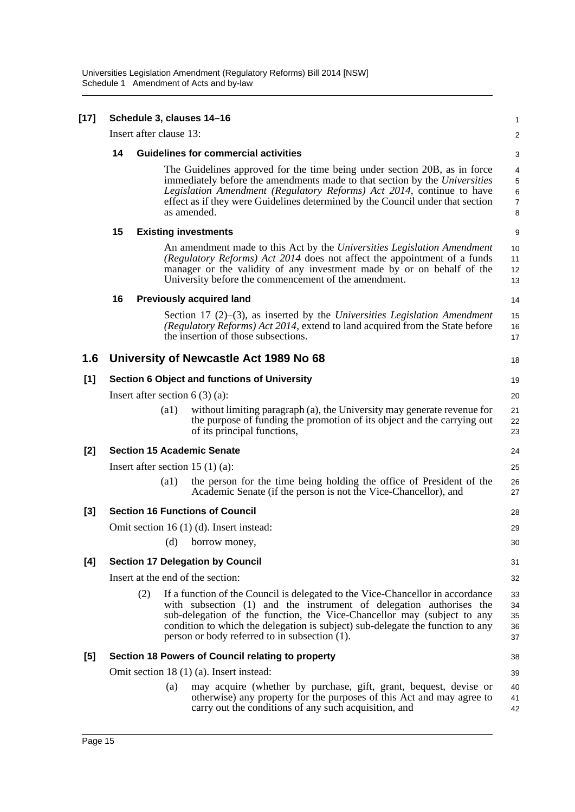| $[17]$ | Schedule 3, clauses 14-16              |                    |                                                                                                                                                                                                                                                                                                                                                                     |                                                 |  |  |  |
|--------|----------------------------------------|--------------------|---------------------------------------------------------------------------------------------------------------------------------------------------------------------------------------------------------------------------------------------------------------------------------------------------------------------------------------------------------------------|-------------------------------------------------|--|--|--|
|        | Insert after clause 13:                |                    |                                                                                                                                                                                                                                                                                                                                                                     | $\overline{\mathbf{c}}$                         |  |  |  |
|        | 14                                     |                    | <b>Guidelines for commercial activities</b>                                                                                                                                                                                                                                                                                                                         |                                                 |  |  |  |
|        |                                        |                    | The Guidelines approved for the time being under section 20B, as in force<br>immediately before the amendments made to that section by the Universities<br>Legislation Amendment (Regulatory Reforms) Act 2014, continue to have<br>effect as if they were Guidelines determined by the Council under that section<br>as amended.                                   | $\overline{4}$<br>5<br>6<br>$\overline{7}$<br>8 |  |  |  |
|        | 15                                     |                    | <b>Existing investments</b>                                                                                                                                                                                                                                                                                                                                         | 9                                               |  |  |  |
|        |                                        |                    | An amendment made to this Act by the Universities Legislation Amendment<br>(Regulatory Reforms) Act 2014 does not affect the appointment of a funds<br>manager or the validity of any investment made by or on behalf of the<br>University before the commencement of the amendment.                                                                                | 10<br>11<br>12<br>13                            |  |  |  |
|        | 16                                     |                    | <b>Previously acquired land</b>                                                                                                                                                                                                                                                                                                                                     | 14                                              |  |  |  |
|        |                                        |                    | Section 17 $(2)$ – $(3)$ , as inserted by the Universities Legislation Amendment<br>(Regulatory Reforms) Act 2014, extend to land acquired from the State before<br>the insertion of those subsections.                                                                                                                                                             | 15<br>16<br>17                                  |  |  |  |
| 1.6    |                                        |                    | University of Newcastle Act 1989 No 68                                                                                                                                                                                                                                                                                                                              | 18                                              |  |  |  |
| [1]    |                                        |                    | Section 6 Object and functions of University                                                                                                                                                                                                                                                                                                                        | 19                                              |  |  |  |
|        | Insert after section $6(3)(a)$ :<br>20 |                    |                                                                                                                                                                                                                                                                                                                                                                     |                                                 |  |  |  |
|        |                                        | $\left( a1\right)$ | without limiting paragraph (a), the University may generate revenue for<br>the purpose of funding the promotion of its object and the carrying out<br>of its principal functions,                                                                                                                                                                                   | 21<br>22<br>23                                  |  |  |  |
| $[2]$  |                                        |                    | <b>Section 15 Academic Senate</b>                                                                                                                                                                                                                                                                                                                                   | 24                                              |  |  |  |
|        |                                        |                    | Insert after section 15 $(1)$ (a):                                                                                                                                                                                                                                                                                                                                  | 25                                              |  |  |  |
|        |                                        | $\left( a1\right)$ | the person for the time being holding the office of President of the<br>Academic Senate (if the person is not the Vice-Chancellor), and                                                                                                                                                                                                                             | 26<br>27                                        |  |  |  |
| $[3]$  |                                        |                    | <b>Section 16 Functions of Council</b>                                                                                                                                                                                                                                                                                                                              | 28                                              |  |  |  |
|        |                                        |                    | Omit section 16 (1) (d). Insert instead:                                                                                                                                                                                                                                                                                                                            | 29                                              |  |  |  |
|        |                                        |                    | (d) borrow money,                                                                                                                                                                                                                                                                                                                                                   | 30                                              |  |  |  |
| [4]    |                                        |                    | <b>Section 17 Delegation by Council</b>                                                                                                                                                                                                                                                                                                                             | 31                                              |  |  |  |
|        |                                        |                    | Insert at the end of the section:                                                                                                                                                                                                                                                                                                                                   | 32                                              |  |  |  |
|        | (2)                                    |                    | If a function of the Council is delegated to the Vice-Chancellor in accordance<br>with subsection (1) and the instrument of delegation authorises the<br>sub-delegation of the function, the Vice-Chancellor may (subject to any<br>condition to which the delegation is subject) sub-delegate the function to any<br>person or body referred to in subsection (1). | 33<br>34<br>35<br>36<br>37                      |  |  |  |
| [5]    |                                        |                    | Section 18 Powers of Council relating to property                                                                                                                                                                                                                                                                                                                   | 38                                              |  |  |  |
|        |                                        |                    | Omit section 18 (1) (a). Insert instead:                                                                                                                                                                                                                                                                                                                            | 39                                              |  |  |  |
|        |                                        | (a)                | may acquire (whether by purchase, gift, grant, bequest, devise or<br>otherwise) any property for the purposes of this Act and may agree to<br>carry out the conditions of any such acquisition, and                                                                                                                                                                 | 40<br>41<br>42                                  |  |  |  |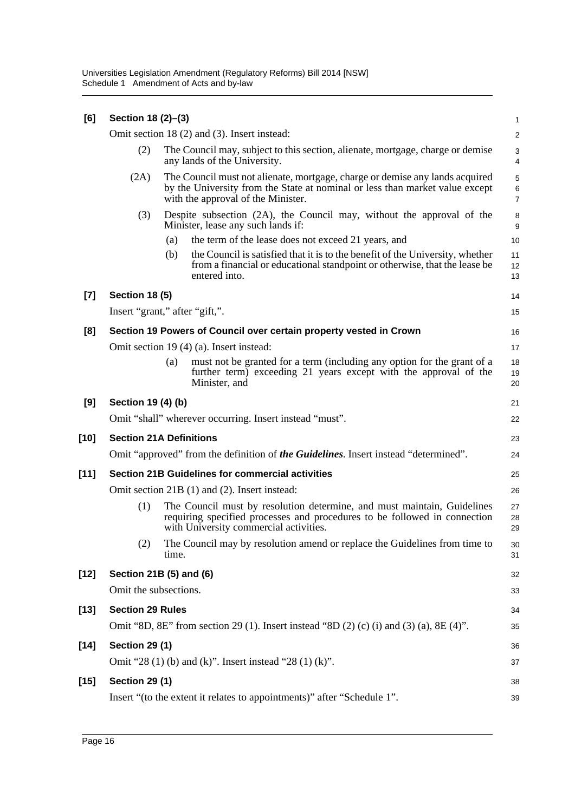| [6]    | Section 18 (2)-(3)             |       |                                                                                                                                                                                                    |                                       |  |  |
|--------|--------------------------------|-------|----------------------------------------------------------------------------------------------------------------------------------------------------------------------------------------------------|---------------------------------------|--|--|
|        |                                |       | Omit section 18 (2) and (3). Insert instead:                                                                                                                                                       | $\overline{c}$                        |  |  |
|        | (2)                            |       | The Council may, subject to this section, alienate, mortgage, charge or demise<br>any lands of the University.                                                                                     | 3<br>4                                |  |  |
|        | (2A)                           |       | The Council must not alienate, mortgage, charge or demise any lands acquired<br>by the University from the State at nominal or less than market value except<br>with the approval of the Minister. | $\sqrt{5}$<br>$\,6$<br>$\overline{7}$ |  |  |
|        | (3)                            |       | Despite subsection (2A), the Council may, without the approval of the<br>Minister, lease any such lands if:                                                                                        | 8<br>$\boldsymbol{9}$                 |  |  |
|        |                                | (a)   | the term of the lease does not exceed 21 years, and                                                                                                                                                | 10                                    |  |  |
|        |                                | (b)   | the Council is satisfied that it is to the benefit of the University, whether<br>from a financial or educational standpoint or otherwise, that the lease be<br>entered into.                       | 11<br>12<br>13                        |  |  |
| $[7]$  | <b>Section 18 (5)</b>          |       |                                                                                                                                                                                                    | 14                                    |  |  |
|        | Insert "grant," after "gift,". |       |                                                                                                                                                                                                    | 15                                    |  |  |
| [8]    |                                |       | Section 19 Powers of Council over certain property vested in Crown                                                                                                                                 | 16                                    |  |  |
|        |                                |       | Omit section 19 (4) (a). Insert instead:                                                                                                                                                           | 17                                    |  |  |
|        |                                | (a)   | must not be granted for a term (including any option for the grant of a<br>further term) exceeding 21 years except with the approval of the<br>Minister, and                                       | 18<br>19<br>20                        |  |  |
| [9]    | Section 19 (4) (b)             |       |                                                                                                                                                                                                    | 21                                    |  |  |
|        |                                |       | Omit "shall" wherever occurring. Insert instead "must".                                                                                                                                            | 22                                    |  |  |
| [10]   | <b>Section 21A Definitions</b> |       |                                                                                                                                                                                                    | 23                                    |  |  |
|        |                                |       | Omit "approved" from the definition of <b>the Guidelines</b> . Insert instead "determined".                                                                                                        | 24                                    |  |  |
| $[11]$ |                                |       | <b>Section 21B Guidelines for commercial activities</b>                                                                                                                                            | 25                                    |  |  |
|        |                                |       | Omit section 21B (1) and (2). Insert instead:                                                                                                                                                      | 26                                    |  |  |
|        | (1)                            |       | The Council must by resolution determine, and must maintain, Guidelines<br>requiring specified processes and procedures to be followed in connection<br>with University commercial activities.     | 27<br>28<br>29                        |  |  |
|        | (2)                            | time. | The Council may by resolution amend or replace the Guidelines from time to                                                                                                                         | 30<br>31                              |  |  |
| $[12]$ | Section 21B (5) and (6)        |       |                                                                                                                                                                                                    | 32                                    |  |  |
|        | Omit the subsections.          |       |                                                                                                                                                                                                    | 33                                    |  |  |
| $[13]$ | <b>Section 29 Rules</b>        |       |                                                                                                                                                                                                    | 34                                    |  |  |
|        |                                |       | Omit "8D, 8E" from section 29 (1). Insert instead "8D (2) (c) (i) and (3) (a), 8E (4)".                                                                                                            | 35                                    |  |  |
| $[14]$ | <b>Section 29 (1)</b>          |       |                                                                                                                                                                                                    | 36                                    |  |  |
|        |                                |       | Omit "28 (1) (b) and (k)". Insert instead "28 (1) (k)".                                                                                                                                            | 37                                    |  |  |
| $[15]$ | <b>Section 29 (1)</b>          |       |                                                                                                                                                                                                    | 38                                    |  |  |
|        |                                |       | Insert "(to the extent it relates to appointments)" after "Schedule 1".                                                                                                                            | 39                                    |  |  |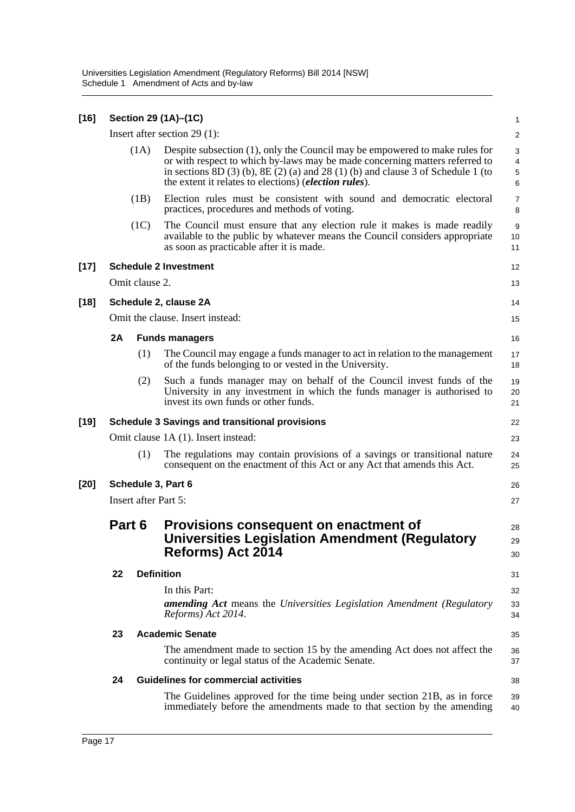| $[16]$ | Section 29 (1A)-(1C)<br>$\mathbf{1}$                                                                                                                     |                |                                                                                                                                                                                                                                                                                                                     |                                        |  |  |  |
|--------|----------------------------------------------------------------------------------------------------------------------------------------------------------|----------------|---------------------------------------------------------------------------------------------------------------------------------------------------------------------------------------------------------------------------------------------------------------------------------------------------------------------|----------------------------------------|--|--|--|
|        |                                                                                                                                                          |                | Insert after section $29(1)$ :                                                                                                                                                                                                                                                                                      | $\overline{\mathbf{c}}$                |  |  |  |
|        |                                                                                                                                                          | (1A)           | Despite subsection (1), only the Council may be empowered to make rules for<br>or with respect to which by-laws may be made concerning matters referred to<br>in sections $8D(3)$ (b), $8E(2)$ (a) and $28(1)$ (b) and clause 3 of Schedule 1 (to<br>the extent it relates to elections) ( <i>election rules</i> ). | 3<br>$\overline{\mathbf{4}}$<br>5<br>6 |  |  |  |
|        |                                                                                                                                                          | (1B)           | Election rules must be consistent with sound and democratic electoral<br>practices, procedures and methods of voting.                                                                                                                                                                                               | $\overline{7}$<br>8                    |  |  |  |
|        |                                                                                                                                                          | (1C)           | The Council must ensure that any election rule it makes is made readily<br>available to the public by whatever means the Council considers appropriate<br>as soon as practicable after it is made.                                                                                                                  | 9<br>10<br>11                          |  |  |  |
| [17]   |                                                                                                                                                          |                | <b>Schedule 2 Investment</b>                                                                                                                                                                                                                                                                                        | 12                                     |  |  |  |
|        |                                                                                                                                                          | Omit clause 2. |                                                                                                                                                                                                                                                                                                                     | 13                                     |  |  |  |
| $[18]$ |                                                                                                                                                          |                | Schedule 2, clause 2A                                                                                                                                                                                                                                                                                               | 14                                     |  |  |  |
|        |                                                                                                                                                          |                | Omit the clause. Insert instead:                                                                                                                                                                                                                                                                                    | 15                                     |  |  |  |
|        | 2A                                                                                                                                                       |                | <b>Funds managers</b>                                                                                                                                                                                                                                                                                               | 16                                     |  |  |  |
|        |                                                                                                                                                          | (1)            | The Council may engage a funds manager to act in relation to the management<br>of the funds belonging to or vested in the University.                                                                                                                                                                               | 17<br>18                               |  |  |  |
|        |                                                                                                                                                          | (2)            | Such a funds manager may on behalf of the Council invest funds of the<br>University in any investment in which the funds manager is authorised to<br>invest its own funds or other funds.                                                                                                                           | 19<br>20<br>21                         |  |  |  |
| [19]   |                                                                                                                                                          |                | <b>Schedule 3 Savings and transitional provisions</b>                                                                                                                                                                                                                                                               | 22                                     |  |  |  |
|        |                                                                                                                                                          |                | Omit clause 1A (1). Insert instead:                                                                                                                                                                                                                                                                                 | 23                                     |  |  |  |
|        |                                                                                                                                                          | (1)            | The regulations may contain provisions of a savings or transitional nature<br>consequent on the enactment of this Act or any Act that amends this Act.                                                                                                                                                              | 24<br>25                               |  |  |  |
| [20]   | Schedule 3, Part 6<br>26                                                                                                                                 |                |                                                                                                                                                                                                                                                                                                                     |                                        |  |  |  |
|        | <b>Insert after Part 5:</b><br>27                                                                                                                        |                |                                                                                                                                                                                                                                                                                                                     |                                        |  |  |  |
|        | Part 6<br>Provisions consequent on enactment of<br><b>Universities Legislation Amendment (Regulatory</b><br>Reforms) Act 2014<br><b>Definition</b><br>22 |                |                                                                                                                                                                                                                                                                                                                     |                                        |  |  |  |
|        |                                                                                                                                                          |                |                                                                                                                                                                                                                                                                                                                     | 31                                     |  |  |  |
|        |                                                                                                                                                          |                | In this Part:                                                                                                                                                                                                                                                                                                       | 32                                     |  |  |  |
|        |                                                                                                                                                          |                | <b>amending Act</b> means the Universities Legislation Amendment (Regulatory<br>Reforms) Act 2014.                                                                                                                                                                                                                  | 33<br>34                               |  |  |  |
|        | 23                                                                                                                                                       |                | <b>Academic Senate</b>                                                                                                                                                                                                                                                                                              | 35                                     |  |  |  |
|        |                                                                                                                                                          |                | The amendment made to section 15 by the amending Act does not affect the<br>continuity or legal status of the Academic Senate.                                                                                                                                                                                      | 36<br>37                               |  |  |  |
|        | 24                                                                                                                                                       |                | <b>Guidelines for commercial activities</b>                                                                                                                                                                                                                                                                         | 38                                     |  |  |  |
|        |                                                                                                                                                          |                | The Guidelines approved for the time being under section 21B, as in force<br>immediately before the amendments made to that section by the amending                                                                                                                                                                 | 39<br>40                               |  |  |  |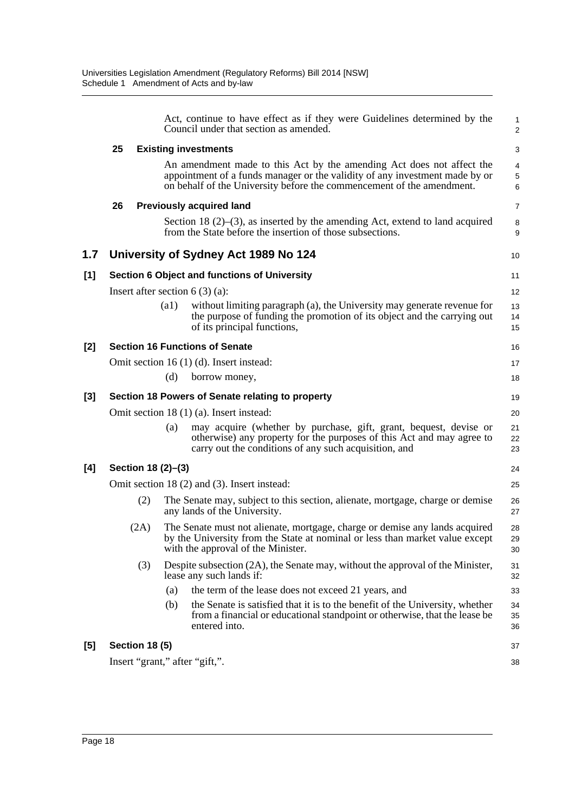|       |                                          |                    | Act, continue to have effect as if they were Guidelines determined by the<br>Council under that section as amended.                                                                                                           | $\mathbf{1}$<br>$\overline{\mathbf{c}}$ |  |  |
|-------|------------------------------------------|--------------------|-------------------------------------------------------------------------------------------------------------------------------------------------------------------------------------------------------------------------------|-----------------------------------------|--|--|
|       | 25                                       |                    | <b>Existing investments</b>                                                                                                                                                                                                   | 3                                       |  |  |
|       |                                          |                    | An amendment made to this Act by the amending Act does not affect the<br>appointment of a funds manager or the validity of any investment made by or<br>on behalf of the University before the commencement of the amendment. | $\overline{\mathbf{4}}$<br>5<br>6       |  |  |
|       | 26                                       |                    | <b>Previously acquired land</b>                                                                                                                                                                                               | $\overline{7}$                          |  |  |
|       |                                          |                    | Section 18 $(2)$ – $(3)$ , as inserted by the amending Act, extend to land acquired<br>from the State before the insertion of those subsections.                                                                              | 8<br>9                                  |  |  |
| 1.7   |                                          |                    | University of Sydney Act 1989 No 124                                                                                                                                                                                          | 10                                      |  |  |
| $[1]$ |                                          |                    | Section 6 Object and functions of University                                                                                                                                                                                  | 11                                      |  |  |
|       |                                          |                    | Insert after section $6(3)(a)$ :                                                                                                                                                                                              | 12                                      |  |  |
|       |                                          | $\left( a1\right)$ | without limiting paragraph (a), the University may generate revenue for<br>the purpose of funding the promotion of its object and the carrying out<br>of its principal functions,                                             | 13<br>14<br>15                          |  |  |
| [2]   |                                          |                    | <b>Section 16 Functions of Senate</b>                                                                                                                                                                                         | 16                                      |  |  |
|       |                                          |                    | Omit section 16 (1) (d). Insert instead:                                                                                                                                                                                      | 17                                      |  |  |
|       |                                          | (d)                | borrow money,                                                                                                                                                                                                                 | 18                                      |  |  |
| [3]   |                                          |                    | Section 18 Powers of Senate relating to property                                                                                                                                                                              | 19                                      |  |  |
|       | Omit section 18 (1) (a). Insert instead: |                    |                                                                                                                                                                                                                               |                                         |  |  |
|       |                                          | (a)                | may acquire (whether by purchase, gift, grant, bequest, devise or<br>otherwise) any property for the purposes of this Act and may agree to<br>carry out the conditions of any such acquisition, and                           | 21<br>22<br>23                          |  |  |
| [4]   | Section 18 (2)-(3)                       |                    |                                                                                                                                                                                                                               | 24                                      |  |  |
|       |                                          |                    | Omit section 18 (2) and (3). Insert instead:                                                                                                                                                                                  | 25                                      |  |  |
|       | (2)                                      |                    | The Senate may, subject to this section, alienate, mortgage, charge or demise<br>any lands of the University.                                                                                                                 | 26<br>27                                |  |  |
|       | (2A)                                     |                    | The Senate must not alienate, mortgage, charge or demise any lands acquired<br>by the University from the State at nominal or less than market value except<br>with the approval of the Minister.                             | 28<br>29<br>30                          |  |  |
|       | (3)                                      |                    | Despite subsection (2A), the Senate may, without the approval of the Minister,<br>lease any such lands if:                                                                                                                    | 31<br>32                                |  |  |
|       |                                          | (a)                | the term of the lease does not exceed 21 years, and                                                                                                                                                                           | 33                                      |  |  |
|       |                                          | (b)                | the Senate is satisfied that it is to the benefit of the University, whether<br>from a financial or educational standpoint or otherwise, that the lease be<br>entered into.                                                   | 34<br>35<br>36                          |  |  |
| [5]   | <b>Section 18 (5)</b>                    |                    |                                                                                                                                                                                                                               | 37                                      |  |  |
|       | Insert "grant," after "gift,".           |                    |                                                                                                                                                                                                                               | 38                                      |  |  |
|       |                                          |                    |                                                                                                                                                                                                                               |                                         |  |  |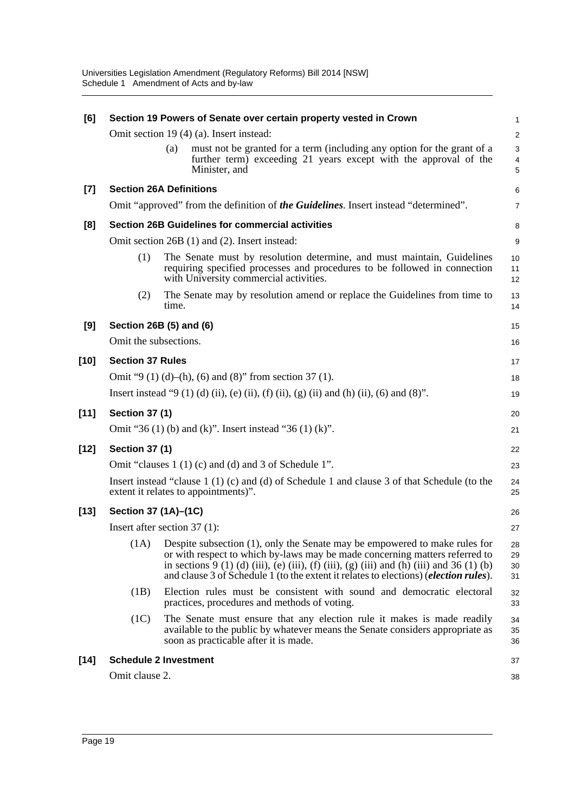| [6]    | Section 19 Powers of Senate over certain property vested in Crown<br>1 |       |                                                                                                                                                                                                                                                                                                                                                              |                                             |  |  |
|--------|------------------------------------------------------------------------|-------|--------------------------------------------------------------------------------------------------------------------------------------------------------------------------------------------------------------------------------------------------------------------------------------------------------------------------------------------------------------|---------------------------------------------|--|--|
|        |                                                                        |       | Omit section 19 (4) (a). Insert instead:                                                                                                                                                                                                                                                                                                                     | $\overline{2}$                              |  |  |
|        |                                                                        | (a)   | must not be granted for a term (including any option for the grant of a<br>further term) exceeding 21 years except with the approval of the<br>Minister, and                                                                                                                                                                                                 | $\mathsf 3$<br>$\overline{\mathbf{4}}$<br>5 |  |  |
| $[7]$  | <b>Section 26A Definitions</b>                                         |       |                                                                                                                                                                                                                                                                                                                                                              | 6                                           |  |  |
|        |                                                                        |       | Omit "approved" from the definition of the Guidelines. Insert instead "determined".                                                                                                                                                                                                                                                                          | $\overline{7}$                              |  |  |
| [8]    |                                                                        |       | <b>Section 26B Guidelines for commercial activities</b>                                                                                                                                                                                                                                                                                                      | 8                                           |  |  |
|        |                                                                        |       | Omit section 26B (1) and (2). Insert instead:                                                                                                                                                                                                                                                                                                                | 9                                           |  |  |
|        | (1)                                                                    |       | The Senate must by resolution determine, and must maintain, Guidelines<br>requiring specified processes and procedures to be followed in connection<br>with University commercial activities.                                                                                                                                                                | 10<br>11<br>12                              |  |  |
|        | (2)                                                                    | time. | The Senate may by resolution amend or replace the Guidelines from time to                                                                                                                                                                                                                                                                                    | 13<br>14                                    |  |  |
| [9]    | Section 26B (5) and (6)                                                |       |                                                                                                                                                                                                                                                                                                                                                              | 15                                          |  |  |
|        | Omit the subsections.                                                  |       |                                                                                                                                                                                                                                                                                                                                                              | 16                                          |  |  |
| $[10]$ | <b>Section 37 Rules</b>                                                |       |                                                                                                                                                                                                                                                                                                                                                              | 17                                          |  |  |
|        |                                                                        |       | Omit "9 (1) (d)–(h), (6) and (8)" from section 37 (1).                                                                                                                                                                                                                                                                                                       | 18                                          |  |  |
|        |                                                                        |       | Insert instead "9 (1) (d) (ii), (e) (ii), (f) (ii), (g) (ii) and (h) (ii), (6) and (8)".                                                                                                                                                                                                                                                                     | 19                                          |  |  |
| $[11]$ | <b>Section 37 (1)</b>                                                  |       |                                                                                                                                                                                                                                                                                                                                                              | 20                                          |  |  |
|        |                                                                        |       | Omit "36 (1) (b) and (k)". Insert instead "36 (1) (k)".                                                                                                                                                                                                                                                                                                      | 21                                          |  |  |
|        |                                                                        |       |                                                                                                                                                                                                                                                                                                                                                              |                                             |  |  |
| $[12]$ | <b>Section 37 (1)</b>                                                  |       |                                                                                                                                                                                                                                                                                                                                                              | 22                                          |  |  |
|        |                                                                        |       | Omit "clauses 1 (1) (c) and (d) and 3 of Schedule 1".                                                                                                                                                                                                                                                                                                        | 23                                          |  |  |
|        |                                                                        |       | Insert instead "clause $1(1)(c)$ and (d) of Schedule 1 and clause 3 of that Schedule (to the<br>extent it relates to appointments)".                                                                                                                                                                                                                         | 24<br>25                                    |  |  |
| $[13]$ | Section 37 (1A)-(1C)                                                   |       |                                                                                                                                                                                                                                                                                                                                                              | 26                                          |  |  |
|        | Insert after section $37(1)$ :                                         |       |                                                                                                                                                                                                                                                                                                                                                              | 27                                          |  |  |
|        |                                                                        |       | (1A) Despite subsection (1), only the Senate may be empowered to make rules for<br>or with respect to which by-laws may be made concerning matters referred to<br>in sections 9 (1) (d) (iii), (e) (iii), (f) (iii), (g) (iii) and (h) (iii) and 36 (1) (b)<br>and clause 3 of Schedule 1 (to the extent it relates to elections) ( <i>election rules</i> ). | 28<br>29<br>30<br>31                        |  |  |
|        | (1B)                                                                   |       | Election rules must be consistent with sound and democratic electoral<br>practices, procedures and methods of voting.                                                                                                                                                                                                                                        | 32<br>33                                    |  |  |
|        | (1C)                                                                   |       | The Senate must ensure that any election rule it makes is made readily<br>available to the public by whatever means the Senate considers appropriate as<br>soon as practicable after it is made.                                                                                                                                                             | 34<br>35<br>36                              |  |  |
| $[14]$ | <b>Schedule 2 Investment</b>                                           |       |                                                                                                                                                                                                                                                                                                                                                              | 37                                          |  |  |
|        | Omit clause 2.                                                         |       |                                                                                                                                                                                                                                                                                                                                                              | 38                                          |  |  |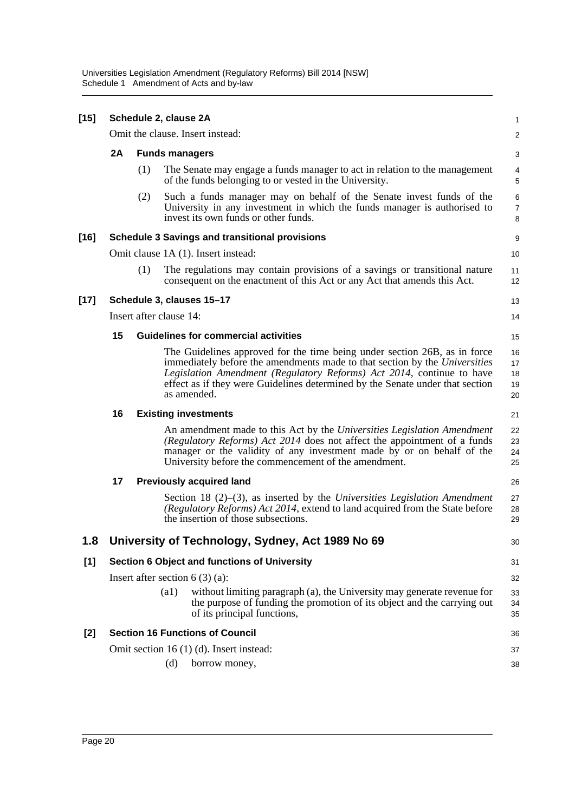Universities Legislation Amendment (Regulatory Reforms) Bill 2014 [NSW] Schedule 1 Amendment of Acts and by-law

| $[15]$ | Schedule 2, clause 2A     |     |                                                                                                                                                                                                                                                                                                                                  |                            |  |  |  |
|--------|---------------------------|-----|----------------------------------------------------------------------------------------------------------------------------------------------------------------------------------------------------------------------------------------------------------------------------------------------------------------------------------|----------------------------|--|--|--|
|        |                           |     | Omit the clause. Insert instead:                                                                                                                                                                                                                                                                                                 | $\overline{a}$             |  |  |  |
|        | 2A                        |     | <b>Funds managers</b>                                                                                                                                                                                                                                                                                                            | 3                          |  |  |  |
|        |                           | (1) | The Senate may engage a funds manager to act in relation to the management<br>of the funds belonging to or vested in the University.                                                                                                                                                                                             | 4<br>5                     |  |  |  |
|        |                           | (2) | Such a funds manager may on behalf of the Senate invest funds of the<br>University in any investment in which the funds manager is authorised to<br>invest its own funds or other funds.                                                                                                                                         | 6<br>7<br>8                |  |  |  |
| $[16]$ |                           |     | <b>Schedule 3 Savings and transitional provisions</b>                                                                                                                                                                                                                                                                            | 9                          |  |  |  |
|        |                           |     | Omit clause 1A (1). Insert instead:                                                                                                                                                                                                                                                                                              | 10                         |  |  |  |
|        |                           | (1) | The regulations may contain provisions of a savings or transitional nature<br>consequent on the enactment of this Act or any Act that amends this Act.                                                                                                                                                                           | 11<br>12                   |  |  |  |
| $[17]$ | Schedule 3, clauses 15-17 |     |                                                                                                                                                                                                                                                                                                                                  |                            |  |  |  |
|        | Insert after clause 14:   |     |                                                                                                                                                                                                                                                                                                                                  |                            |  |  |  |
|        | 15                        |     | <b>Guidelines for commercial activities</b>                                                                                                                                                                                                                                                                                      | 15                         |  |  |  |
|        |                           |     | The Guidelines approved for the time being under section 26B, as in force<br>immediately before the amendments made to that section by the Universities<br>Legislation Amendment (Regulatory Reforms) Act 2014, continue to have<br>effect as if they were Guidelines determined by the Senate under that section<br>as amended. | 16<br>17<br>18<br>19<br>20 |  |  |  |
|        | 16                        |     | <b>Existing investments</b>                                                                                                                                                                                                                                                                                                      |                            |  |  |  |
|        |                           |     | An amendment made to this Act by the Universities Legislation Amendment<br>(Regulatory Reforms) Act 2014 does not affect the appointment of a funds<br>manager or the validity of any investment made by or on behalf of the<br>University before the commencement of the amendment.                                             | 22<br>23<br>24<br>25       |  |  |  |
|        | 17                        |     | <b>Previously acquired land</b>                                                                                                                                                                                                                                                                                                  | 26                         |  |  |  |
|        |                           |     | Section 18 $(2)$ – $(3)$ , as inserted by the Universities Legislation Amendment<br>(Regulatory Reforms) Act 2014, extend to land acquired from the State before<br>the insertion of those subsections.                                                                                                                          | 27<br>28<br>29             |  |  |  |
| 1.8    |                           |     | University of Technology, Sydney, Act 1989 No 69                                                                                                                                                                                                                                                                                 | 30                         |  |  |  |
| [1]    |                           |     | Section 6 Object and functions of University                                                                                                                                                                                                                                                                                     | 31                         |  |  |  |
|        |                           |     | Insert after section $6(3)(a)$ :                                                                                                                                                                                                                                                                                                 | 32                         |  |  |  |
|        |                           |     | without limiting paragraph (a), the University may generate revenue for<br>$\left( a1\right)$<br>the purpose of funding the promotion of its object and the carrying out<br>of its principal functions,                                                                                                                          | 33<br>34<br>35             |  |  |  |
| [2]    |                           |     | <b>Section 16 Functions of Council</b>                                                                                                                                                                                                                                                                                           | 36                         |  |  |  |
|        |                           |     | Omit section 16 (1) (d). Insert instead:                                                                                                                                                                                                                                                                                         | 37                         |  |  |  |
|        |                           |     | (d)<br>borrow money,                                                                                                                                                                                                                                                                                                             | 38                         |  |  |  |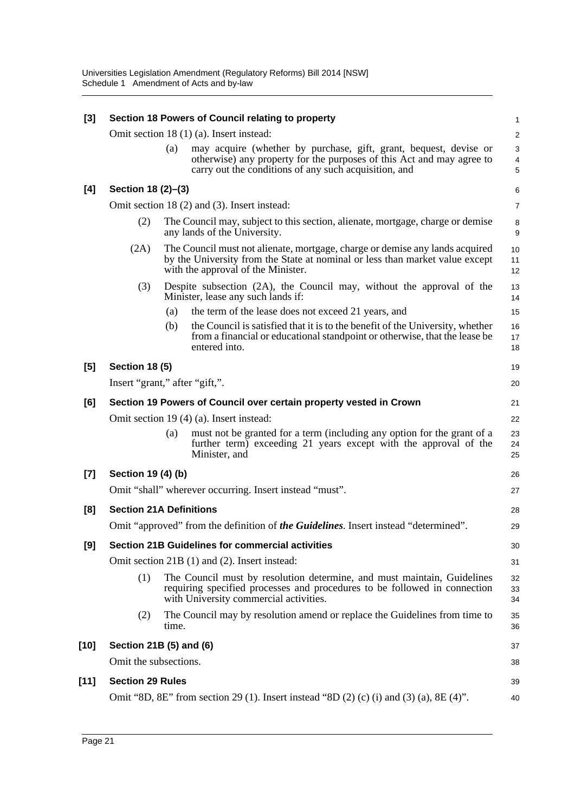| $[3]$  | Section 18 Powers of Council relating to property<br>1 |       |                                                                                                                                                                                                     |                         |  |  |
|--------|--------------------------------------------------------|-------|-----------------------------------------------------------------------------------------------------------------------------------------------------------------------------------------------------|-------------------------|--|--|
|        |                                                        |       | Omit section 18 (1) (a). Insert instead:                                                                                                                                                            | $\overline{\mathbf{c}}$ |  |  |
|        |                                                        | (a)   | may acquire (whether by purchase, gift, grant, bequest, devise or<br>otherwise) any property for the purposes of this Act and may agree to<br>carry out the conditions of any such acquisition, and | 3<br>4<br>5             |  |  |
| [4]    | Section 18 (2)-(3)                                     |       |                                                                                                                                                                                                     | 6                       |  |  |
|        |                                                        |       | Omit section 18 (2) and (3). Insert instead:                                                                                                                                                        | 7                       |  |  |
|        | (2)                                                    |       | The Council may, subject to this section, alienate, mortgage, charge or demise<br>any lands of the University.                                                                                      | 8<br>9                  |  |  |
|        | (2A)                                                   |       | The Council must not alienate, mortgage, charge or demise any lands acquired<br>by the University from the State at nominal or less than market value except<br>with the approval of the Minister.  | 10<br>11<br>12          |  |  |
|        | (3)                                                    |       | Despite subsection (2A), the Council may, without the approval of the<br>Minister, lease any such lands if:                                                                                         | 13<br>14                |  |  |
|        |                                                        | (a)   | the term of the lease does not exceed 21 years, and                                                                                                                                                 | 15                      |  |  |
|        |                                                        | (b)   | the Council is satisfied that it is to the benefit of the University, whether<br>from a financial or educational standpoint or otherwise, that the lease be<br>entered into.                        | 16<br>17<br>18          |  |  |
| [5]    | <b>Section 18 (5)</b>                                  |       |                                                                                                                                                                                                     | 19                      |  |  |
|        | Insert "grant," after "gift,".                         |       |                                                                                                                                                                                                     |                         |  |  |
| [6]    |                                                        |       | Section 19 Powers of Council over certain property vested in Crown                                                                                                                                  | 21                      |  |  |
|        |                                                        |       | Omit section 19 (4) (a). Insert instead:                                                                                                                                                            | 22                      |  |  |
|        |                                                        | (a)   | must not be granted for a term (including any option for the grant of a<br>further term) exceeding 21 years except with the approval of the<br>Minister, and                                        | 23<br>24<br>25          |  |  |
| $[7]$  | Section 19 (4) (b)                                     |       |                                                                                                                                                                                                     | 26                      |  |  |
|        |                                                        |       | Omit "shall" wherever occurring. Insert instead "must".                                                                                                                                             | 27                      |  |  |
| [8]    | <b>Section 21A Definitions</b>                         |       |                                                                                                                                                                                                     | 28                      |  |  |
|        |                                                        |       | Omit "approved" from the definition of the Guidelines. Insert instead "determined".                                                                                                                 | 29                      |  |  |
| [9]    |                                                        |       | <b>Section 21B Guidelines for commercial activities</b>                                                                                                                                             | 30                      |  |  |
|        |                                                        |       | Omit section 21B (1) and (2). Insert instead:                                                                                                                                                       | 31                      |  |  |
|        | (1)                                                    |       | The Council must by resolution determine, and must maintain, Guidelines<br>requiring specified processes and procedures to be followed in connection<br>with University commercial activities.      | 32<br>33<br>34          |  |  |
|        | (2)                                                    | time. | The Council may by resolution amend or replace the Guidelines from time to                                                                                                                          | 35<br>36                |  |  |
| [10]   | Section 21B (5) and (6)                                |       |                                                                                                                                                                                                     | 37                      |  |  |
|        | Omit the subsections.                                  |       |                                                                                                                                                                                                     | 38                      |  |  |
| $[11]$ | <b>Section 29 Rules</b>                                |       |                                                                                                                                                                                                     | 39                      |  |  |
|        |                                                        |       | Omit "8D, 8E" from section 29 (1). Insert instead "8D (2) (c) (i) and (3) (a), 8E (4)".                                                                                                             | 40                      |  |  |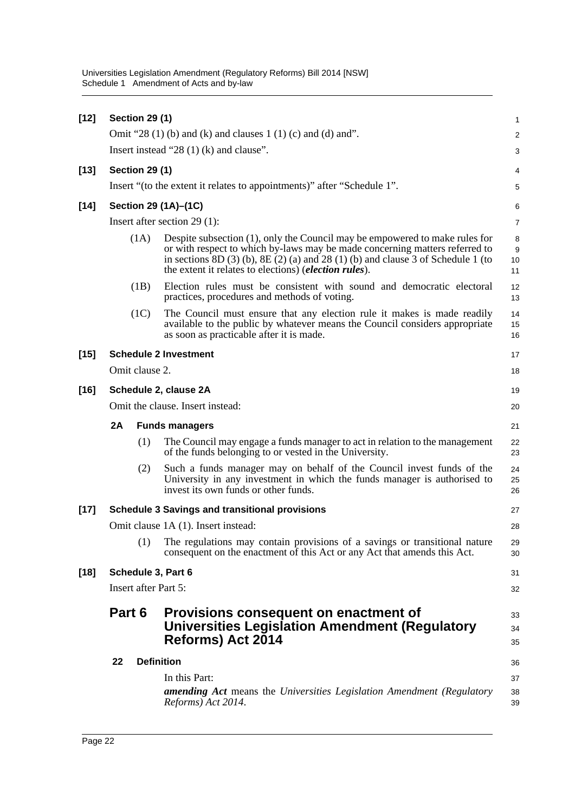| $[12]$ | <b>Section 29 (1)</b>                     |                                                                                                                                                                                                                                                                                                                        | 1                                                  |  |  |  |  |
|--------|-------------------------------------------|------------------------------------------------------------------------------------------------------------------------------------------------------------------------------------------------------------------------------------------------------------------------------------------------------------------------|----------------------------------------------------|--|--|--|--|
|        |                                           | Omit "28 $(1)$ (b) and (k) and clauses 1 $(1)$ (c) and (d) and".                                                                                                                                                                                                                                                       | $\overline{c}$                                     |  |  |  |  |
|        | Insert instead "28 $(1)$ (k) and clause". |                                                                                                                                                                                                                                                                                                                        |                                                    |  |  |  |  |
| $[13]$ | <b>Section 29 (1)</b>                     |                                                                                                                                                                                                                                                                                                                        |                                                    |  |  |  |  |
|        |                                           | Insert "(to the extent it relates to appointments)" after "Schedule 1".                                                                                                                                                                                                                                                | 5                                                  |  |  |  |  |
| $[14]$ |                                           | Section 29 (1A)-(1C)                                                                                                                                                                                                                                                                                                   | 6                                                  |  |  |  |  |
|        | Insert after section $29(1)$ :            |                                                                                                                                                                                                                                                                                                                        |                                                    |  |  |  |  |
|        | (1A)                                      | Despite subsection (1), only the Council may be empowered to make rules for<br>or with respect to which by-laws may be made concerning matters referred to<br>in sections 8D $(3)$ (b), 8E $(2)$ (a) and 28 $(1)$ (b) and clause 3 of Schedule 1 (to<br>the extent it relates to elections) ( <i>election rules</i> ). | 8<br>9<br>10<br>11                                 |  |  |  |  |
|        | (1B)                                      | Election rules must be consistent with sound and democratic electoral<br>practices, procedures and methods of voting.                                                                                                                                                                                                  | 12<br>13                                           |  |  |  |  |
|        | (1C)                                      | The Council must ensure that any election rule it makes is made readily<br>available to the public by whatever means the Council considers appropriate<br>as soon as practicable after it is made.                                                                                                                     |                                                    |  |  |  |  |
| $[15]$ |                                           | <b>Schedule 2 Investment</b>                                                                                                                                                                                                                                                                                           | 17                                                 |  |  |  |  |
|        | Omit clause 2.                            |                                                                                                                                                                                                                                                                                                                        | 18                                                 |  |  |  |  |
| $[16]$ | Schedule 2, clause 2A                     |                                                                                                                                                                                                                                                                                                                        |                                                    |  |  |  |  |
|        | Omit the clause. Insert instead:          |                                                                                                                                                                                                                                                                                                                        |                                                    |  |  |  |  |
|        | 2A                                        | <b>Funds managers</b>                                                                                                                                                                                                                                                                                                  |                                                    |  |  |  |  |
|        | (1)                                       | The Council may engage a funds manager to act in relation to the management<br>of the funds belonging to or vested in the University.                                                                                                                                                                                  | 22<br>23                                           |  |  |  |  |
|        | (2)                                       | Such a funds manager may on behalf of the Council invest funds of the<br>University in any investment in which the funds manager is authorised to<br>invest its own funds or other funds.                                                                                                                              | 24<br>25<br>26                                     |  |  |  |  |
| $[17]$ |                                           | <b>Schedule 3 Savings and transitional provisions</b>                                                                                                                                                                                                                                                                  | 27                                                 |  |  |  |  |
|        |                                           | Omit clause 1A (1). Insert instead:                                                                                                                                                                                                                                                                                    | 28                                                 |  |  |  |  |
|        | (1)                                       | The regulations may contain provisions of a savings or transitional nature<br>consequent on the enactment of this Act or any Act that amends this Act.                                                                                                                                                                 | 29<br>30                                           |  |  |  |  |
| $[18]$ | Schedule 3, Part 6                        |                                                                                                                                                                                                                                                                                                                        | 31                                                 |  |  |  |  |
|        | Insert after Part 5:                      |                                                                                                                                                                                                                                                                                                                        | 32                                                 |  |  |  |  |
|        | Part 6                                    | Provisions consequent on enactment of<br><b>Universities Legislation Amendment (Regulatory</b><br><b>Reforms) Act 2014</b>                                                                                                                                                                                             | 33<br>34<br>35                                     |  |  |  |  |
|        | 22                                        | <b>Definition</b>                                                                                                                                                                                                                                                                                                      | 36                                                 |  |  |  |  |
|        |                                           | In this Part:<br><b>amending Act</b> means the Universities Legislation Amendment (Regulatory<br>Reforms) Act 2014.                                                                                                                                                                                                    | 14<br>15<br>16<br>19<br>20<br>21<br>37<br>38<br>39 |  |  |  |  |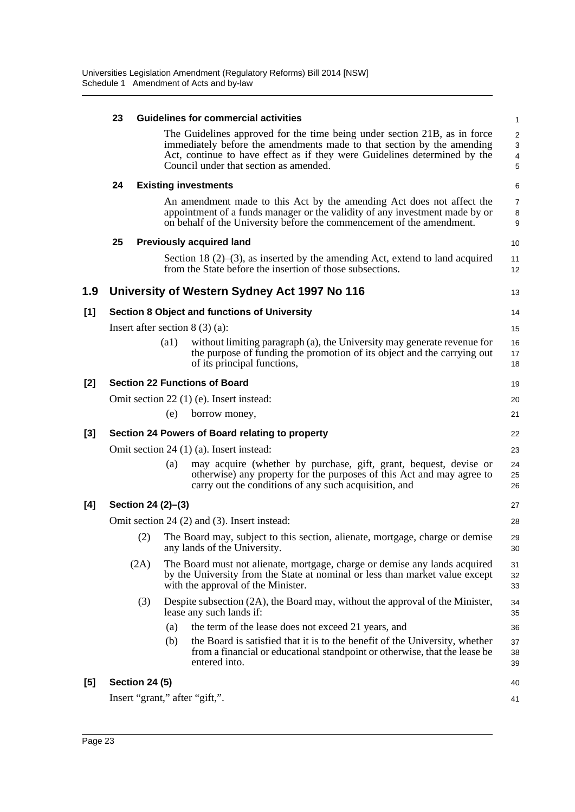|       | 23                                             |                       |      | <b>Guidelines for commercial activities</b>                                                                                                                                                                                                                                | 1                                      |  |  |
|-------|------------------------------------------------|-----------------------|------|----------------------------------------------------------------------------------------------------------------------------------------------------------------------------------------------------------------------------------------------------------------------------|----------------------------------------|--|--|
|       |                                                |                       |      | The Guidelines approved for the time being under section 21B, as in force<br>immediately before the amendments made to that section by the amending<br>Act, continue to have effect as if they were Guidelines determined by the<br>Council under that section as amended. | $\overline{\mathbf{c}}$<br>3<br>4<br>5 |  |  |
|       | 24                                             |                       |      | <b>Existing investments</b>                                                                                                                                                                                                                                                | 6                                      |  |  |
|       |                                                |                       |      | An amendment made to this Act by the amending Act does not affect the<br>appointment of a funds manager or the validity of any investment made by or<br>on behalf of the University before the commencement of the amendment.                                              | 7<br>8<br>9                            |  |  |
|       | 25                                             |                       |      | <b>Previously acquired land</b>                                                                                                                                                                                                                                            | 10                                     |  |  |
|       |                                                |                       |      | Section 18 $(2)$ – $(3)$ , as inserted by the amending Act, extend to land acquired<br>from the State before the insertion of those subsections.                                                                                                                           | 11<br>12                               |  |  |
| 1.9   |                                                |                       |      | University of Western Sydney Act 1997 No 116                                                                                                                                                                                                                               | 13                                     |  |  |
| [1]   |                                                |                       |      | <b>Section 8 Object and functions of University</b>                                                                                                                                                                                                                        | 14                                     |  |  |
|       |                                                |                       |      | Insert after section $8(3)(a)$ :                                                                                                                                                                                                                                           | 15                                     |  |  |
|       |                                                |                       | (a1) | without limiting paragraph (a), the University may generate revenue for<br>the purpose of funding the promotion of its object and the carrying out<br>of its principal functions,                                                                                          | 16<br>17<br>18                         |  |  |
| [2]   |                                                |                       |      | <b>Section 22 Functions of Board</b>                                                                                                                                                                                                                                       | 19                                     |  |  |
|       | Omit section 22 (1) (e). Insert instead:<br>20 |                       |      |                                                                                                                                                                                                                                                                            |                                        |  |  |
|       |                                                |                       | (e)  | borrow money,                                                                                                                                                                                                                                                              | 21                                     |  |  |
| $[3]$ |                                                |                       |      | Section 24 Powers of Board relating to property                                                                                                                                                                                                                            | 22                                     |  |  |
|       |                                                |                       |      | Omit section 24 (1) (a). Insert instead:                                                                                                                                                                                                                                   | 23                                     |  |  |
|       |                                                |                       | (a)  | may acquire (whether by purchase, gift, grant, bequest, devise or<br>otherwise) any property for the purposes of this Act and may agree to<br>carry out the conditions of any such acquisition, and                                                                        | 24<br>25<br>26                         |  |  |
| [4]   |                                                | Section 24 (2)–(3)    |      |                                                                                                                                                                                                                                                                            | 27                                     |  |  |
|       |                                                |                       |      | Omit section 24 (2) and (3). Insert instead:                                                                                                                                                                                                                               | 28                                     |  |  |
|       |                                                | (2)                   |      | The Board may, subject to this section, alienate, mortgage, charge or demise<br>any lands of the University.                                                                                                                                                               | 29<br>30                               |  |  |
|       |                                                | (2A)                  |      | The Board must not alienate, mortgage, charge or demise any lands acquired<br>by the University from the State at nominal or less than market value except<br>with the approval of the Minister.                                                                           | 31<br>32<br>33                         |  |  |
|       |                                                | (3)                   |      | Despite subsection (2A), the Board may, without the approval of the Minister,<br>lease any such lands if:                                                                                                                                                                  | 34<br>35                               |  |  |
|       |                                                |                       | (a)  | the term of the lease does not exceed 21 years, and                                                                                                                                                                                                                        | 36                                     |  |  |
|       |                                                |                       | (b)  | the Board is satisfied that it is to the benefit of the University, whether<br>from a financial or educational standpoint or otherwise, that the lease be<br>entered into.                                                                                                 | 37<br>38<br>39                         |  |  |
| [5]   |                                                | <b>Section 24 (5)</b> |      |                                                                                                                                                                                                                                                                            | 40                                     |  |  |
|       |                                                |                       |      | Insert "grant," after "gift,".                                                                                                                                                                                                                                             | 41                                     |  |  |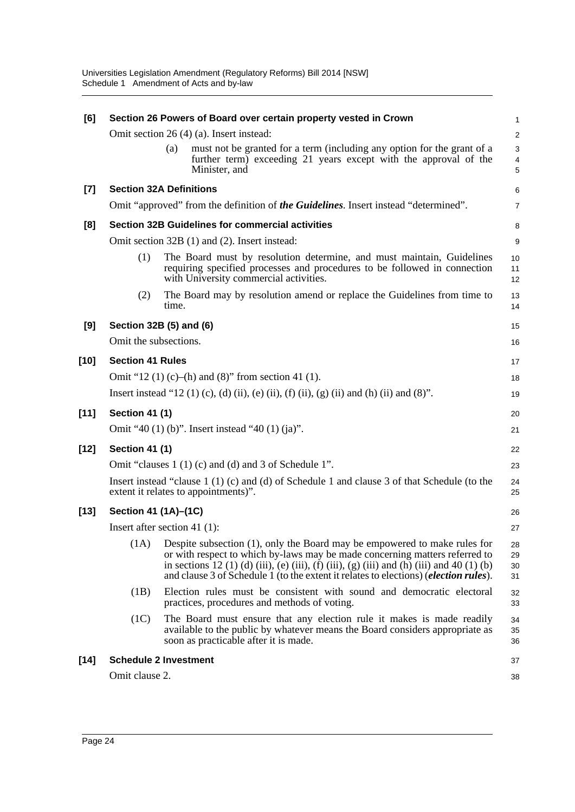| [6]    | Section 26 Powers of Board over certain property vested in Crown |       |                                                                                                                                                                                                                                                                                                                                                                |                                   |  |  |
|--------|------------------------------------------------------------------|-------|----------------------------------------------------------------------------------------------------------------------------------------------------------------------------------------------------------------------------------------------------------------------------------------------------------------------------------------------------------------|-----------------------------------|--|--|
|        |                                                                  |       | Omit section 26 (4) (a). Insert instead:                                                                                                                                                                                                                                                                                                                       | $\overline{\mathbf{c}}$           |  |  |
|        |                                                                  | (a)   | must not be granted for a term (including any option for the grant of a<br>further term) exceeding 21 years except with the approval of the<br>Minister, and                                                                                                                                                                                                   | 3<br>$\overline{\mathbf{4}}$<br>5 |  |  |
| [7]    | <b>Section 32A Definitions</b>                                   |       |                                                                                                                                                                                                                                                                                                                                                                | 6                                 |  |  |
|        |                                                                  |       | Omit "approved" from the definition of the Guidelines. Insert instead "determined".                                                                                                                                                                                                                                                                            | $\overline{7}$                    |  |  |
| [8]    |                                                                  |       | <b>Section 32B Guidelines for commercial activities</b>                                                                                                                                                                                                                                                                                                        | 8                                 |  |  |
|        |                                                                  |       | Omit section 32B (1) and (2). Insert instead:                                                                                                                                                                                                                                                                                                                  | 9                                 |  |  |
|        | (1)                                                              |       | The Board must by resolution determine, and must maintain, Guidelines<br>requiring specified processes and procedures to be followed in connection<br>with University commercial activities.                                                                                                                                                                   | 10<br>11<br>12                    |  |  |
|        | (2)                                                              | time. | The Board may by resolution amend or replace the Guidelines from time to                                                                                                                                                                                                                                                                                       | 13<br>14                          |  |  |
| [9]    | Section 32B (5) and (6)                                          |       |                                                                                                                                                                                                                                                                                                                                                                | 15                                |  |  |
|        | Omit the subsections.                                            |       |                                                                                                                                                                                                                                                                                                                                                                | 16                                |  |  |
| $[10]$ | <b>Section 41 Rules</b>                                          |       |                                                                                                                                                                                                                                                                                                                                                                | 17                                |  |  |
|        |                                                                  |       | Omit "12 (1) (c)–(h) and (8)" from section 41 (1).                                                                                                                                                                                                                                                                                                             | 18                                |  |  |
|        |                                                                  |       | Insert instead "12 (1) (c), (d) (ii), (e) (ii), (f) (ii), (g) (ii) and (h) (ii) and (8)".                                                                                                                                                                                                                                                                      | 19                                |  |  |
| $[11]$ | <b>Section 41 (1)</b>                                            |       |                                                                                                                                                                                                                                                                                                                                                                | 20                                |  |  |
|        |                                                                  |       | Omit "40 (1) (b)". Insert instead "40 (1) (ja)".                                                                                                                                                                                                                                                                                                               | 21                                |  |  |
| $[12]$ | <b>Section 41 (1)</b>                                            |       |                                                                                                                                                                                                                                                                                                                                                                | 22                                |  |  |
|        |                                                                  |       | Omit "clauses 1 (1) (c) and (d) and 3 of Schedule 1".                                                                                                                                                                                                                                                                                                          | 23                                |  |  |
|        |                                                                  |       | Insert instead "clause $1(1)(c)$ and (d) of Schedule 1 and clause 3 of that Schedule (to the<br>extent it relates to appointments)".                                                                                                                                                                                                                           | 24<br>25                          |  |  |
| $[13]$ | Section 41 (1A)–(1C)                                             |       |                                                                                                                                                                                                                                                                                                                                                                | 26                                |  |  |
|        | Insert after section 41 $(1)$ :                                  |       |                                                                                                                                                                                                                                                                                                                                                                | 27                                |  |  |
|        |                                                                  |       | $(1A)$ Despite subsection (1), only the Board may be empowered to make rules for<br>or with respect to which by-laws may be made concerning matters referred to<br>in sections 12 (1) (d) (iii), (e) (iii), (f) (iii), (g) (iii) and (h) (iii) and 40 (1) (b)<br>and clause 3 of Schedule 1 (to the extent it relates to elections) ( <i>election rules</i> ). | 28<br>29<br>30<br>31              |  |  |
|        | (1B)                                                             |       | Election rules must be consistent with sound and democratic electoral<br>practices, procedures and methods of voting.                                                                                                                                                                                                                                          | 32<br>33                          |  |  |
|        | (1C)                                                             |       | The Board must ensure that any election rule it makes is made readily<br>available to the public by whatever means the Board considers appropriate as<br>soon as practicable after it is made.                                                                                                                                                                 | 34<br>35<br>36                    |  |  |
| $[14]$ | <b>Schedule 2 Investment</b>                                     |       |                                                                                                                                                                                                                                                                                                                                                                | 37                                |  |  |
|        | Omit clause 2.                                                   |       |                                                                                                                                                                                                                                                                                                                                                                | 38                                |  |  |
|        |                                                                  |       |                                                                                                                                                                                                                                                                                                                                                                |                                   |  |  |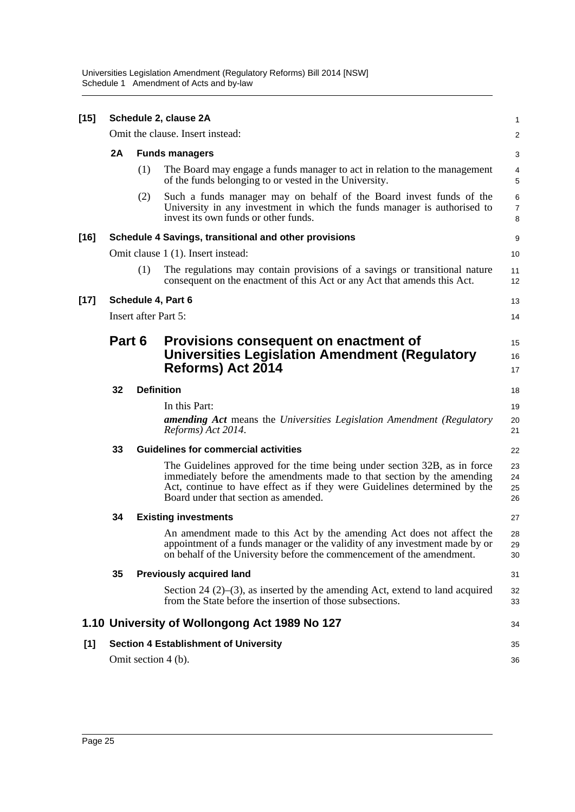Universities Legislation Amendment (Regulatory Reforms) Bill 2014 [NSW] Schedule 1 Amendment of Acts and by-law

| $[15]$ | Schedule 2, clause 2A                        |                                                       |                                                                                                                                                                                                                                                                          |                          |  |  |  |
|--------|----------------------------------------------|-------------------------------------------------------|--------------------------------------------------------------------------------------------------------------------------------------------------------------------------------------------------------------------------------------------------------------------------|--------------------------|--|--|--|
|        | Omit the clause. Insert instead:             |                                                       |                                                                                                                                                                                                                                                                          |                          |  |  |  |
|        | 2A                                           | <b>Funds managers</b>                                 |                                                                                                                                                                                                                                                                          |                          |  |  |  |
|        |                                              | (1)                                                   | The Board may engage a funds manager to act in relation to the management<br>of the funds belonging to or vested in the University.                                                                                                                                      | 4<br>5                   |  |  |  |
|        |                                              | (2)                                                   | Such a funds manager may on behalf of the Board invest funds of the<br>University in any investment in which the funds manager is authorised to<br>invest its own funds or other funds.                                                                                  | 6<br>$\overline{7}$<br>8 |  |  |  |
| $[16]$ |                                              | Schedule 4 Savings, transitional and other provisions |                                                                                                                                                                                                                                                                          |                          |  |  |  |
|        | Omit clause 1 (1). Insert instead:           |                                                       |                                                                                                                                                                                                                                                                          | 10                       |  |  |  |
|        |                                              | (1)                                                   | The regulations may contain provisions of a savings or transitional nature<br>consequent on the enactment of this Act or any Act that amends this Act.                                                                                                                   | 11<br>12                 |  |  |  |
| $[17]$ |                                              | Schedule 4, Part 6                                    |                                                                                                                                                                                                                                                                          |                          |  |  |  |
|        |                                              |                                                       | Insert after Part 5:                                                                                                                                                                                                                                                     | 14                       |  |  |  |
|        | Part 6                                       |                                                       | Provisions consequent on enactment of<br><b>Universities Legislation Amendment (Regulatory</b><br><b>Reforms) Act 2014</b>                                                                                                                                               | 15<br>16<br>17           |  |  |  |
|        | 32                                           |                                                       | <b>Definition</b>                                                                                                                                                                                                                                                        | 18                       |  |  |  |
|        |                                              |                                                       | In this Part:<br><b>amending Act</b> means the Universities Legislation Amendment (Regulatory<br>Reforms) Act 2014.                                                                                                                                                      | 19<br>20<br>21           |  |  |  |
|        | 33                                           | <b>Guidelines for commercial activities</b>           |                                                                                                                                                                                                                                                                          |                          |  |  |  |
|        |                                              |                                                       | The Guidelines approved for the time being under section 32B, as in force<br>immediately before the amendments made to that section by the amending<br>Act, continue to have effect as if they were Guidelines determined by the<br>Board under that section as amended. | 23<br>24<br>25<br>26     |  |  |  |
|        | 34                                           |                                                       | <b>Existing investments</b>                                                                                                                                                                                                                                              | 27                       |  |  |  |
|        |                                              |                                                       | An amendment made to this Act by the amending Act does not affect the<br>appointment of a funds manager or the validity of any investment made by or<br>on behalf of the University before the commencement of the amendment.                                            | 28<br>29<br>30           |  |  |  |
|        | 35                                           |                                                       | <b>Previously acquired land</b>                                                                                                                                                                                                                                          | 31                       |  |  |  |
|        |                                              |                                                       | Section 24 $(2)$ – $(3)$ , as inserted by the amending Act, extend to land acquired<br>from the State before the insertion of those subsections.                                                                                                                         | 32<br>33                 |  |  |  |
|        |                                              |                                                       | 1.10 University of Wollongong Act 1989 No 127                                                                                                                                                                                                                            | 34                       |  |  |  |
| [1]    | <b>Section 4 Establishment of University</b> |                                                       |                                                                                                                                                                                                                                                                          |                          |  |  |  |
|        | Omit section 4 (b).                          |                                                       |                                                                                                                                                                                                                                                                          |                          |  |  |  |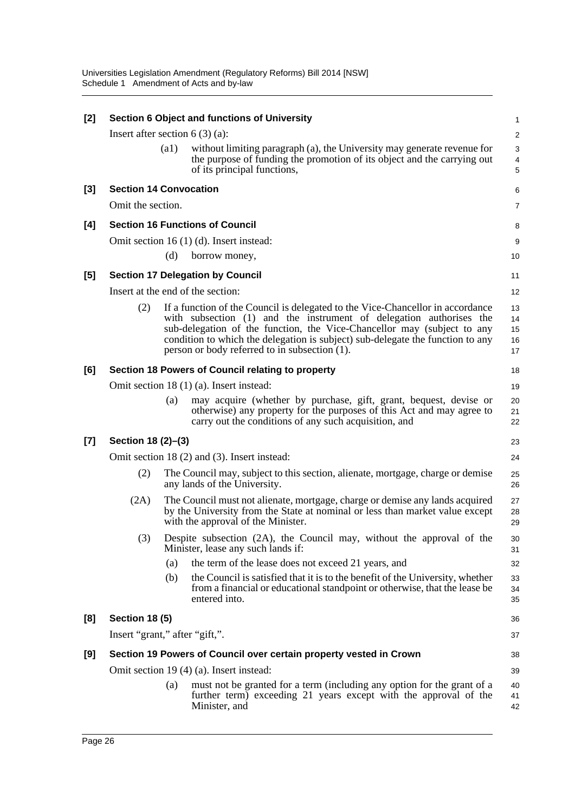| [2]   | Section 6 Object and functions of University                       |                                                                                                                                                                                                    |                                                                                                                                                                                                                                                                                                                                                                     |                            |  |  |  |  |
|-------|--------------------------------------------------------------------|----------------------------------------------------------------------------------------------------------------------------------------------------------------------------------------------------|---------------------------------------------------------------------------------------------------------------------------------------------------------------------------------------------------------------------------------------------------------------------------------------------------------------------------------------------------------------------|----------------------------|--|--|--|--|
|       | Insert after section $6(3)(a)$ :                                   |                                                                                                                                                                                                    |                                                                                                                                                                                                                                                                                                                                                                     |                            |  |  |  |  |
|       |                                                                    | $\left( a1\right)$                                                                                                                                                                                 | without limiting paragraph (a), the University may generate revenue for                                                                                                                                                                                                                                                                                             | 3                          |  |  |  |  |
|       |                                                                    |                                                                                                                                                                                                    | the purpose of funding the promotion of its object and the carrying out<br>of its principal functions,                                                                                                                                                                                                                                                              | 4<br>5                     |  |  |  |  |
| [3]   | <b>Section 14 Convocation</b>                                      |                                                                                                                                                                                                    |                                                                                                                                                                                                                                                                                                                                                                     | 6                          |  |  |  |  |
|       | Omit the section.                                                  |                                                                                                                                                                                                    |                                                                                                                                                                                                                                                                                                                                                                     | 7                          |  |  |  |  |
| [4]   | <b>Section 16 Functions of Council</b>                             |                                                                                                                                                                                                    |                                                                                                                                                                                                                                                                                                                                                                     |                            |  |  |  |  |
|       |                                                                    |                                                                                                                                                                                                    | Omit section 16 (1) (d). Insert instead:                                                                                                                                                                                                                                                                                                                            | 9                          |  |  |  |  |
|       |                                                                    | (d)                                                                                                                                                                                                | borrow money,                                                                                                                                                                                                                                                                                                                                                       | 10                         |  |  |  |  |
| [5]   | <b>Section 17 Delegation by Council</b>                            |                                                                                                                                                                                                    |                                                                                                                                                                                                                                                                                                                                                                     |                            |  |  |  |  |
|       |                                                                    |                                                                                                                                                                                                    | Insert at the end of the section:                                                                                                                                                                                                                                                                                                                                   | 12                         |  |  |  |  |
|       | (2)                                                                |                                                                                                                                                                                                    | If a function of the Council is delegated to the Vice-Chancellor in accordance<br>with subsection (1) and the instrument of delegation authorises the<br>sub-delegation of the function, the Vice-Chancellor may (subject to any<br>condition to which the delegation is subject) sub-delegate the function to any<br>person or body referred to in subsection (1). | 13<br>14<br>15<br>16<br>17 |  |  |  |  |
| [6]   |                                                                    |                                                                                                                                                                                                    | Section 18 Powers of Council relating to property                                                                                                                                                                                                                                                                                                                   | 18                         |  |  |  |  |
|       |                                                                    |                                                                                                                                                                                                    | Omit section 18 (1) (a). Insert instead:                                                                                                                                                                                                                                                                                                                            | 19                         |  |  |  |  |
|       |                                                                    | (a)                                                                                                                                                                                                | may acquire (whether by purchase, gift, grant, bequest, devise or<br>otherwise) any property for the purposes of this Act and may agree to<br>carry out the conditions of any such acquisition, and                                                                                                                                                                 | 20<br>21<br>22             |  |  |  |  |
| $[7]$ | Section 18 (2)-(3)                                                 |                                                                                                                                                                                                    |                                                                                                                                                                                                                                                                                                                                                                     |                            |  |  |  |  |
|       |                                                                    |                                                                                                                                                                                                    | Omit section 18 (2) and (3). Insert instead:                                                                                                                                                                                                                                                                                                                        | 24                         |  |  |  |  |
|       | (2)                                                                | The Council may, subject to this section, alienate, mortgage, charge or demise<br>any lands of the University.                                                                                     |                                                                                                                                                                                                                                                                                                                                                                     |                            |  |  |  |  |
|       | (2A)                                                               | The Council must not alienate, mortgage, charge or demise any lands acquired<br>by the University from the State at nominal or less than market value except<br>with the approval of the Minister. |                                                                                                                                                                                                                                                                                                                                                                     |                            |  |  |  |  |
|       | (3)                                                                |                                                                                                                                                                                                    | Despite subsection (2A), the Council may, without the approval of the<br>Minister, lease any such lands if:                                                                                                                                                                                                                                                         | 30<br>31                   |  |  |  |  |
|       |                                                                    | (a)                                                                                                                                                                                                | the term of the lease does not exceed 21 years, and                                                                                                                                                                                                                                                                                                                 | 32                         |  |  |  |  |
|       |                                                                    | (b)                                                                                                                                                                                                | the Council is satisfied that it is to the benefit of the University, whether<br>from a financial or educational standpoint or otherwise, that the lease be<br>entered into.                                                                                                                                                                                        | 33<br>34<br>35             |  |  |  |  |
| [8]   | <b>Section 18 (5)</b>                                              |                                                                                                                                                                                                    |                                                                                                                                                                                                                                                                                                                                                                     | 36                         |  |  |  |  |
|       | Insert "grant," after "gift,".                                     |                                                                                                                                                                                                    |                                                                                                                                                                                                                                                                                                                                                                     |                            |  |  |  |  |
| [9]   | Section 19 Powers of Council over certain property vested in Crown |                                                                                                                                                                                                    |                                                                                                                                                                                                                                                                                                                                                                     |                            |  |  |  |  |
|       | Omit section 19 (4) (a). Insert instead:                           |                                                                                                                                                                                                    |                                                                                                                                                                                                                                                                                                                                                                     |                            |  |  |  |  |
|       |                                                                    | (a)                                                                                                                                                                                                | must not be granted for a term (including any option for the grant of a<br>further term) exceeding 21 years except with the approval of the<br>Minister, and                                                                                                                                                                                                        | 40<br>41<br>42             |  |  |  |  |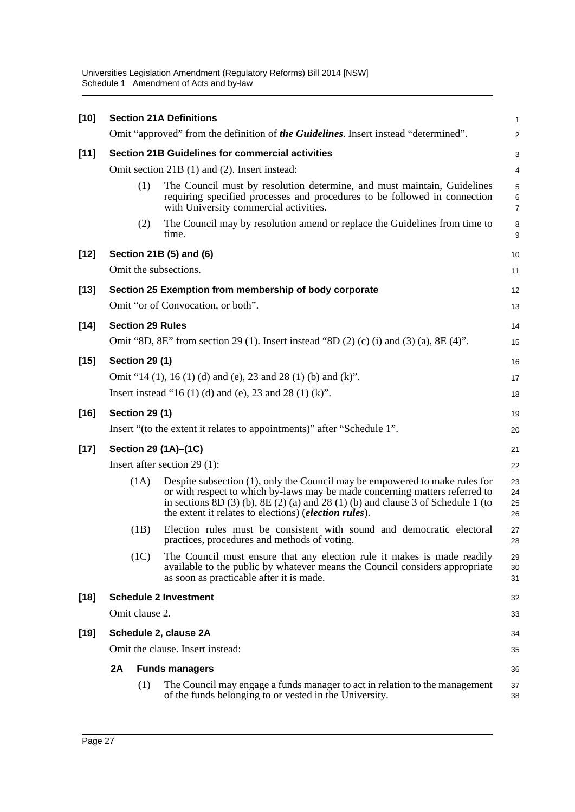Universities Legislation Amendment (Regulatory Reforms) Bill 2014 [NSW] Schedule 1 Amendment of Acts and by-law

| $[10]$ | <b>Section 21A Definitions</b>                                                          |                                    |                                                                                                                                                                                                                                                                                                                     |                          |  |  |  |
|--------|-----------------------------------------------------------------------------------------|------------------------------------|---------------------------------------------------------------------------------------------------------------------------------------------------------------------------------------------------------------------------------------------------------------------------------------------------------------------|--------------------------|--|--|--|
|        |                                                                                         |                                    | Omit "approved" from the definition of the Guidelines. Insert instead "determined".                                                                                                                                                                                                                                 | $\overline{c}$           |  |  |  |
| $[11]$ | <b>Section 21B Guidelines for commercial activities</b>                                 |                                    |                                                                                                                                                                                                                                                                                                                     |                          |  |  |  |
|        | Omit section 21B (1) and (2). Insert instead:                                           |                                    |                                                                                                                                                                                                                                                                                                                     |                          |  |  |  |
|        |                                                                                         | (1)                                | The Council must by resolution determine, and must maintain, Guidelines<br>requiring specified processes and procedures to be followed in connection<br>with University commercial activities.                                                                                                                      | 5<br>6<br>$\overline{7}$ |  |  |  |
|        |                                                                                         | (2)                                | The Council may by resolution amend or replace the Guidelines from time to<br>time.                                                                                                                                                                                                                                 | 8<br>9                   |  |  |  |
| $[12]$ |                                                                                         | Section 21B (5) and (6)            |                                                                                                                                                                                                                                                                                                                     |                          |  |  |  |
|        | Omit the subsections.                                                                   |                                    |                                                                                                                                                                                                                                                                                                                     |                          |  |  |  |
| $[13]$ |                                                                                         |                                    | Section 25 Exemption from membership of body corporate                                                                                                                                                                                                                                                              | 12                       |  |  |  |
|        |                                                                                         | Omit "or of Convocation, or both". |                                                                                                                                                                                                                                                                                                                     |                          |  |  |  |
| $[14]$ |                                                                                         |                                    | <b>Section 29 Rules</b>                                                                                                                                                                                                                                                                                             | 14                       |  |  |  |
|        | Omit "8D, 8E" from section 29 (1). Insert instead "8D (2) (c) (i) and (3) (a), 8E (4)". |                                    |                                                                                                                                                                                                                                                                                                                     |                          |  |  |  |
| $[15]$ |                                                                                         | <b>Section 29 (1)</b>              |                                                                                                                                                                                                                                                                                                                     | 16                       |  |  |  |
|        |                                                                                         |                                    | Omit "14 (1), 16 (1) (d) and (e), 23 and 28 (1) (b) and (k)".                                                                                                                                                                                                                                                       | 17                       |  |  |  |
|        |                                                                                         |                                    | Insert instead "16 (1) (d) and (e), 23 and 28 (1) (k)".                                                                                                                                                                                                                                                             | 18                       |  |  |  |
| $[16]$ |                                                                                         | <b>Section 29 (1)</b>              |                                                                                                                                                                                                                                                                                                                     | 19                       |  |  |  |
|        | Insert "(to the extent it relates to appointments)" after "Schedule 1".                 |                                    |                                                                                                                                                                                                                                                                                                                     |                          |  |  |  |
| $[17]$ | Section 29 (1A)-(1C)                                                                    |                                    |                                                                                                                                                                                                                                                                                                                     |                          |  |  |  |
|        |                                                                                         |                                    | Insert after section $29(1)$ :                                                                                                                                                                                                                                                                                      | 22                       |  |  |  |
|        |                                                                                         | (1A)                               | Despite subsection (1), only the Council may be empowered to make rules for<br>or with respect to which by-laws may be made concerning matters referred to<br>in sections $8D(3)$ (b), $8E(2)$ (a) and $28(1)$ (b) and clause 3 of Schedule 1 (to<br>the extent it relates to elections) ( <i>election rules</i> ). | 23<br>24<br>25<br>26     |  |  |  |
|        |                                                                                         | (1B)                               | Election rules must be consistent with sound and democratic electoral<br>practices, procedures and methods of voting.                                                                                                                                                                                               | 27<br>28                 |  |  |  |
|        |                                                                                         | (1C)                               | The Council must ensure that any election rule it makes is made readily<br>available to the public by whatever means the Council considers appropriate<br>as soon as practicable after it is made.                                                                                                                  | 29<br>30<br>31           |  |  |  |
| $[18]$ |                                                                                         | <b>Schedule 2 Investment</b>       |                                                                                                                                                                                                                                                                                                                     |                          |  |  |  |
|        | Omit clause 2.                                                                          |                                    |                                                                                                                                                                                                                                                                                                                     |                          |  |  |  |
| $[19]$ | Schedule 2, clause 2A                                                                   |                                    |                                                                                                                                                                                                                                                                                                                     |                          |  |  |  |
|        | Omit the clause. Insert instead:                                                        |                                    |                                                                                                                                                                                                                                                                                                                     |                          |  |  |  |
|        | 2A                                                                                      |                                    | <b>Funds managers</b>                                                                                                                                                                                                                                                                                               |                          |  |  |  |
|        |                                                                                         | (1)                                | The Council may engage a funds manager to act in relation to the management<br>of the funds belonging to or vested in the University.                                                                                                                                                                               | 37<br>38                 |  |  |  |